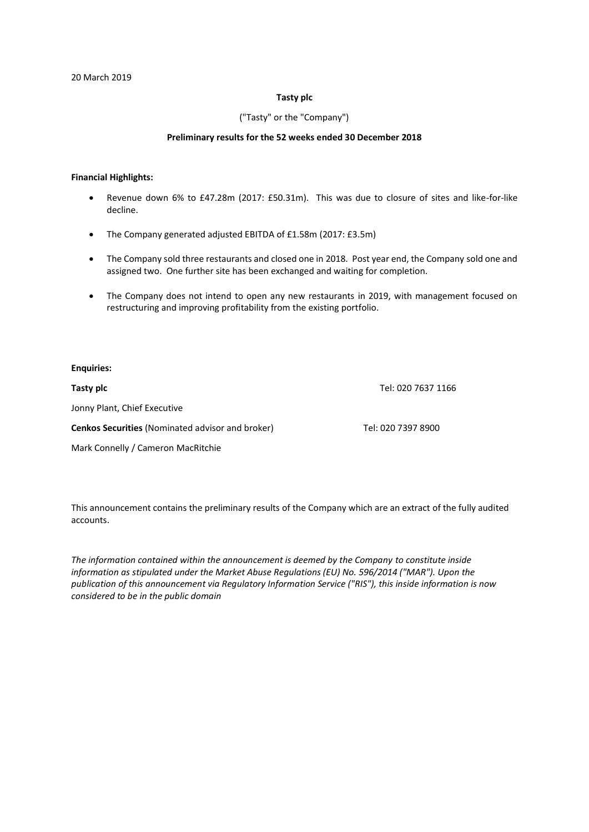# **Tasty plc**

# ("Tasty" or the "Company")

#### **Preliminary results for the 52 weeks ended 30 December 2018**

#### **Financial Highlights:**

- Revenue down 6% to £47.28m (2017: £50.31m). This was due to closure of sites and like-for-like decline.
- The Company generated adjusted EBITDA of £1.58m (2017: £3.5m)
- The Company sold three restaurants and closed one in 2018. Post year end, the Company sold one and assigned two. One further site has been exchanged and waiting for completion.
- The Company does not intend to open any new restaurants in 2019, with management focused on restructuring and improving profitability from the existing portfolio.

#### **Enquiries:**

**Tasty plc** Tel: 020 7637 1166 Jonny Plant, Chief Executive **Cenkos Securities** (Nominated advisor and broker) Tel: 020 7397 8900 Mark Connelly / Cameron MacRitchie

This announcement contains the preliminary results of the Company which are an extract of the fully audited accounts.

*The information contained within the announcement is deemed by the Company to constitute inside information as stipulated under the Market Abuse Regulations (EU) No. 596/2014 ("MAR"). Upon the publication of this announcement via Regulatory Information Service ("RIS"), this inside information is now considered to be in the public domain*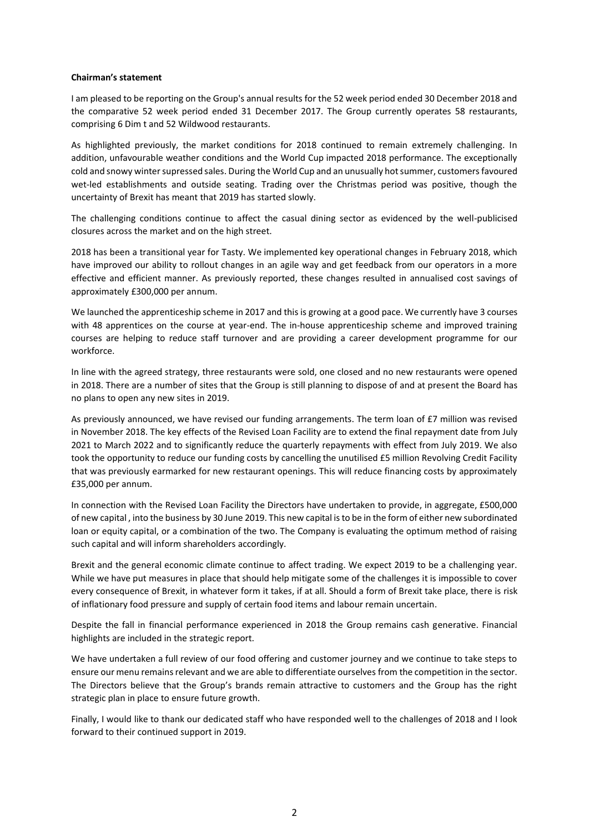#### **Chairman's statement**

I am pleased to be reporting on the Group's annual results for the 52 week period ended 30 December 2018 and the comparative 52 week period ended 31 December 2017. The Group currently operates 58 restaurants, comprising 6 Dim t and 52 Wildwood restaurants.

As highlighted previously, the market conditions for 2018 continued to remain extremely challenging. In addition, unfavourable weather conditions and the World Cup impacted 2018 performance. The exceptionally cold and snowy winter supressed sales. During the World Cup and an unusually hot summer, customers favoured wet-led establishments and outside seating. Trading over the Christmas period was positive, though the uncertainty of Brexit has meant that 2019 has started slowly.

The challenging conditions continue to affect the casual dining sector as evidenced by the well-publicised closures across the market and on the high street.

2018 has been a transitional year for Tasty. We implemented key operational changes in February 2018, which have improved our ability to rollout changes in an agile way and get feedback from our operators in a more effective and efficient manner. As previously reported, these changes resulted in annualised cost savings of approximately £300,000 per annum.

We launched the apprenticeship scheme in 2017 and this is growing at a good pace. We currently have 3 courses with 48 apprentices on the course at year-end. The in-house apprenticeship scheme and improved training courses are helping to reduce staff turnover and are providing a career development programme for our workforce.

In line with the agreed strategy, three restaurants were sold, one closed and no new restaurants were opened in 2018. There are a number of sites that the Group is still planning to dispose of and at present the Board has no plans to open any new sites in 2019.

As previously announced, we have revised our funding arrangements. The term loan of £7 million was revised in November 2018. The key effects of the Revised Loan Facility are to extend the final repayment date from July 2021 to March 2022 and to significantly reduce the quarterly repayments with effect from July 2019. We also took the opportunity to reduce our funding costs by cancelling the unutilised £5 million Revolving Credit Facility that was previously earmarked for new restaurant openings. This will reduce financing costs by approximately £35,000 per annum.

In connection with the Revised Loan Facility the Directors have undertaken to provide, in aggregate, £500,000 of new capital , into the business by 30 June 2019. This new capital is to be in the form of either new subordinated loan or equity capital, or a combination of the two. The Company is evaluating the optimum method of raising such capital and will inform shareholders accordingly.

Brexit and the general economic climate continue to affect trading. We expect 2019 to be a challenging year. While we have put measures in place that should help mitigate some of the challenges it is impossible to cover every consequence of Brexit, in whatever form it takes, if at all. Should a form of Brexit take place, there is risk of inflationary food pressure and supply of certain food items and labour remain uncertain.

Despite the fall in financial performance experienced in 2018 the Group remains cash generative. Financial highlights are included in the strategic report.

We have undertaken a full review of our food offering and customer journey and we continue to take steps to ensure our menu remains relevant and we are able to differentiate ourselves from the competition in the sector. The Directors believe that the Group's brands remain attractive to customers and the Group has the right strategic plan in place to ensure future growth.

Finally, I would like to thank our dedicated staff who have responded well to the challenges of 2018 and I look forward to their continued support in 2019.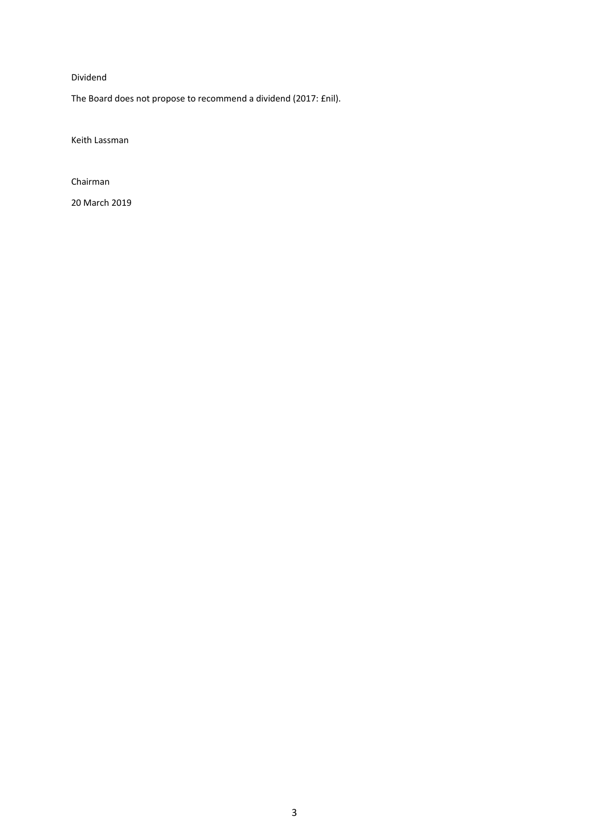# Dividend

The Board does not propose to recommend a dividend (2017: £nil).

Keith Lassman

Chairman

20 March 2019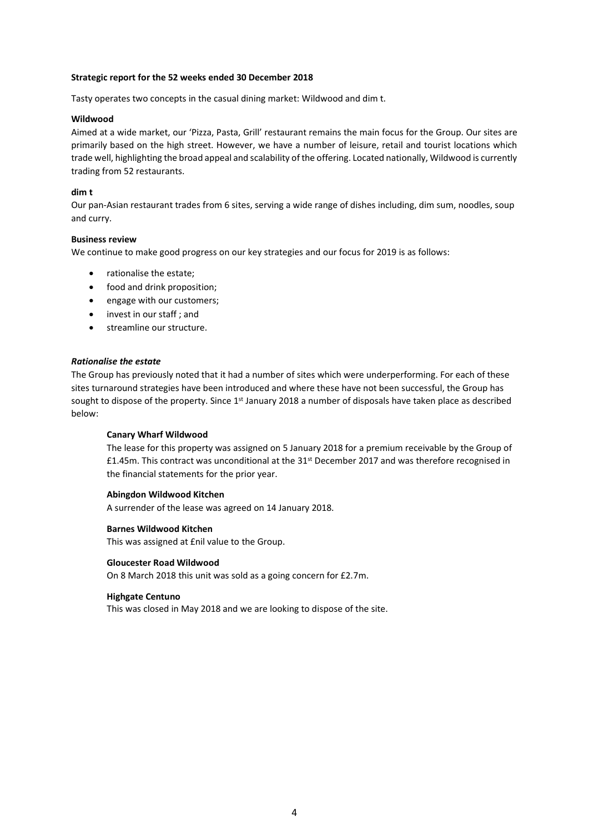### **Strategic report for the 52 weeks ended 30 December 2018**

Tasty operates two concepts in the casual dining market: Wildwood and dim t.

#### **Wildwood**

Aimed at a wide market, our 'Pizza, Pasta, Grill' restaurant remains the main focus for the Group. Our sites are primarily based on the high street. However, we have a number of leisure, retail and tourist locations which trade well, highlighting the broad appeal and scalability of the offering. Located nationally, Wildwood is currently trading from 52 restaurants.

#### **dim t**

Our pan-Asian restaurant trades from 6 sites, serving a wide range of dishes including, dim sum, noodles, soup and curry.

#### **Business review**

We continue to make good progress on our key strategies and our focus for 2019 is as follows:

- rationalise the estate;
- food and drink proposition;
- engage with our customers;
- invest in our staff; and
- streamline our structure.

#### *Rationalise the estate*

The Group has previously noted that it had a number of sites which were underperforming. For each of these sites turnaround strategies have been introduced and where these have not been successful, the Group has sought to dispose of the property. Since 1<sup>st</sup> January 2018 a number of disposals have taken place as described below:

#### **Canary Wharf Wildwood**

The lease for this property was assigned on 5 January 2018 for a premium receivable by the Group of £1.45m. This contract was unconditional at the 31st December 2017 and was therefore recognised in the financial statements for the prior year.

#### **Abingdon Wildwood Kitchen**

A surrender of the lease was agreed on 14 January 2018.

#### **Barnes Wildwood Kitchen**

This was assigned at £nil value to the Group.

#### **Gloucester Road Wildwood**

On 8 March 2018 this unit was sold as a going concern for £2.7m.

#### **Highgate Centuno**

This was closed in May 2018 and we are looking to dispose of the site.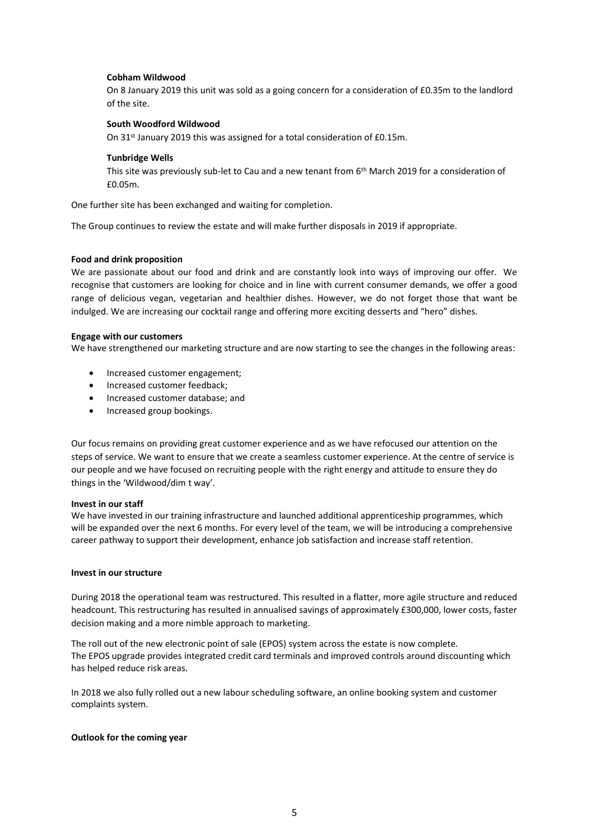### **Cobham Wildwood**

On 8 January 2019 this unit was sold as a going concern for a consideration of £0.35m to the landlord of the site.

### **South Woodford Wildwood**

On 31st January 2019 this was assigned for a total consideration of £0.15m.

#### **Tunbridge Wells**

This site was previously sub-let to Cau and a new tenant from  $6<sup>th</sup>$  March 2019 for a consideration of £0.05m.

One further site has been exchanged and waiting for completion.

The Group continues to review the estate and will make further disposals in 2019 if appropriate.

# **Food and drink proposition**

We are passionate about our food and drink and are constantly look into ways of improving our offer. We recognise that customers are looking for choice and in line with current consumer demands, we offer a good range of delicious vegan, vegetarian and healthier dishes. However, we do not forget those that want be indulged. We are increasing our cocktail range and offering more exciting desserts and "hero" dishes.

#### **Engage with our customers**

We have strengthened our marketing structure and are now starting to see the changes in the following areas:

- Increased customer engagement;
- Increased customer feedback:
- x Increased customer database; and
- Increased group bookings.

Our focus remains on providing great customer experience and as we have refocused our attention on the steps of service. We want to ensure that we create a seamless customer experience. At the centre of service is our people and we have focused on recruiting people with the right energy and attitude to ensure they do things in the 'Wildwood/dim t way'.

#### **Invest in our staff**

We have invested in our training infrastructure and launched additional apprenticeship programmes, which will be expanded over the next 6 months. For every level of the team, we will be introducing a comprehensive career pathway to support their development, enhance job satisfaction and increase staff retention.

#### **Invest in our structure**

During 2018 the operational team was restructured. This resulted in a flatter, more agile structure and reduced headcount. This restructuring has resulted in annualised savings of approximately £300,000, lower costs, faster decision making and a more nimble approach to marketing.

The roll out of the new electronic point of sale (EPOS) system across the estate is now complete. The EPOS upgrade provides integrated credit card terminals and improved controls around discounting which has helped reduce risk areas.

In 2018 we also fully rolled out a new labour scheduling software, an online booking system and customer complaints system.

#### **Outlook for the coming year**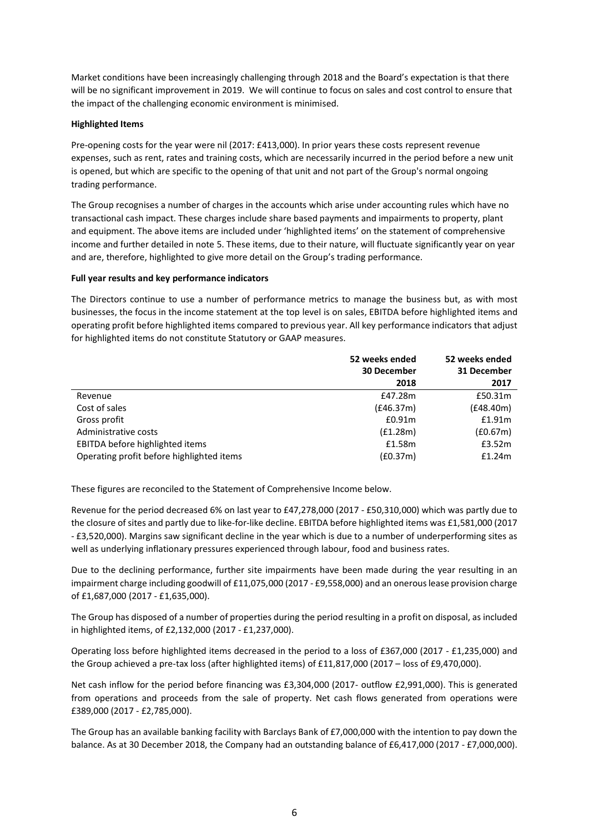Market conditions have been increasingly challenging through 2018 and the Board's expectation is that there will be no significant improvement in 2019. We will continue to focus on sales and cost control to ensure that the impact of the challenging economic environment is minimised.

# **Highlighted Items**

Pre-opening costs for the year were nil (2017: £413,000). In prior years these costs represent revenue expenses, such as rent, rates and training costs, which are necessarily incurred in the period before a new unit is opened, but which are specific to the opening of that unit and not part of the Group's normal ongoing trading performance.

The Group recognises a number of charges in the accounts which arise under accounting rules which have no transactional cash impact. These charges include share based payments and impairments to property, plant and equipment. The above items are included under 'highlighted items' on the statement of comprehensive income and further detailed in note 5. These items, due to their nature, will fluctuate significantly year on year and are, therefore, highlighted to give more detail on the Group's trading performance.

# **Full year results and key performance indicators**

The Directors continue to use a number of performance metrics to manage the business but, as with most businesses, the focus in the income statement at the top level is on sales, EBITDA before highlighted items and operating profit before highlighted items compared to previous year. All key performance indicators that adjust for highlighted items do not constitute Statutory or GAAP measures.

|                                           | 52 weeks ended     | 52 weeks ended |
|-------------------------------------------|--------------------|----------------|
|                                           | <b>30 December</b> | 31 December    |
|                                           | 2018               | 2017           |
| Revenue                                   | £47.28m            | £50.31m        |
| Cost of sales                             | (E46.37m)          | (E48.40m)      |
| Gross profit                              | £0.91 <sub>m</sub> | f1.91m         |
| Administrative costs                      | (f1.28m)           | f(0.67m)       |
| EBITDA before highlighted items           | £1.58m             | £3.52m         |
| Operating profit before highlighted items | (E0.37m)           | £1.24m         |

These figures are reconciled to the Statement of Comprehensive Income below.

Revenue for the period decreased 6% on last year to £47,278,000 (2017 - £50,310,000) which was partly due to the closure of sites and partly due to like-for-like decline. EBITDA before highlighted items was £1,581,000 (2017 - £3,520,000). Margins saw significant decline in the year which is due to a number of underperforming sites as well as underlying inflationary pressures experienced through labour, food and business rates.

Due to the declining performance, further site impairments have been made during the year resulting in an impairment charge including goodwill of £11,075,000 (2017 - £9,558,000) and an onerous lease provision charge of £1,687,000 (2017 - £1,635,000).

The Group has disposed of a number of properties during the period resulting in a profit on disposal, as included in highlighted items, of £2,132,000 (2017 - £1,237,000).

Operating loss before highlighted items decreased in the period to a loss of £367,000 (2017 - £1,235,000) and the Group achieved a pre-tax loss (after highlighted items) of £11,817,000 (2017 - loss of £9,470,000).

Net cash inflow for the period before financing was £3,304,000 (2017- outflow £2,991,000). This is generated from operations and proceeds from the sale of property. Net cash flows generated from operations were £389,000 (2017 - £2,785,000).

The Group has an available banking facility with Barclays Bank of £7,000,000 with the intention to pay down the balance. As at 30 December 2018, the Company had an outstanding balance of £6,417,000 (2017 - £7,000,000).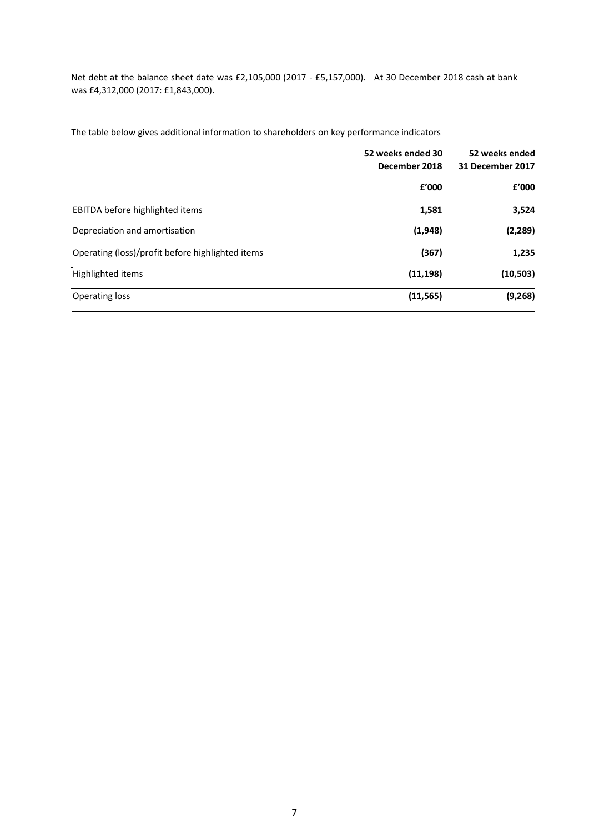Net debt at the balance sheet date was £2,105,000 (2017 - £5,157,000). At 30 December 2018 cash at bank was £4,312,000 (2017: £1,843,000).

The table below gives additional information to shareholders on key performance indicators

|                                                  | 52 weeks ended 30<br>December 2018 | 52 weeks ended<br>31 December 2017 |
|--------------------------------------------------|------------------------------------|------------------------------------|
|                                                  | £'000                              | £'000                              |
| EBITDA before highlighted items                  | 1,581                              | 3,524                              |
| Depreciation and amortisation                    | (1,948)                            | (2, 289)                           |
| Operating (loss)/profit before highlighted items | (367)                              | 1,235                              |
| Highlighted items                                | (11, 198)                          | (10, 503)                          |
| Operating loss                                   | (11, 565)                          | (9, 268)                           |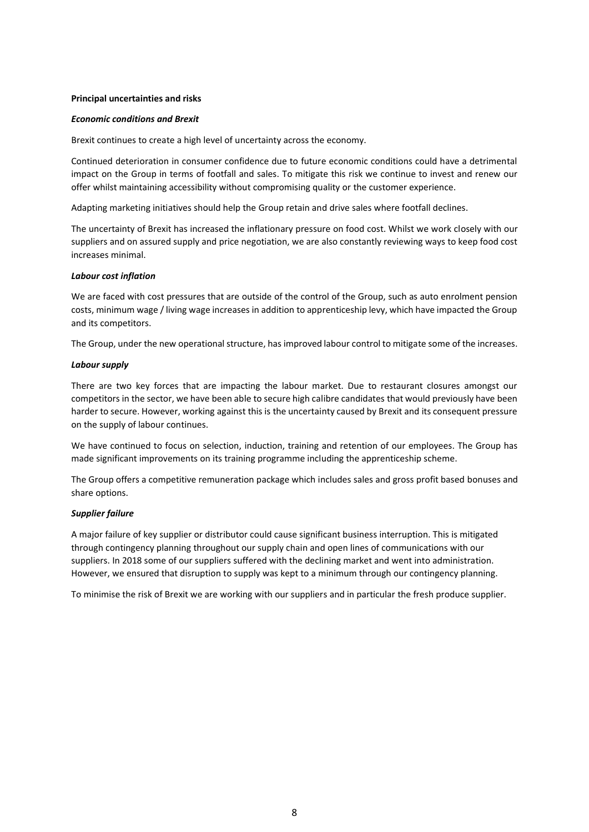# **Principal uncertainties and risks**

#### *Economic conditions and Brexit*

Brexit continues to create a high level of uncertainty across the economy.

Continued deterioration in consumer confidence due to future economic conditions could have a detrimental impact on the Group in terms of footfall and sales. To mitigate this risk we continue to invest and renew our offer whilst maintaining accessibility without compromising quality or the customer experience.

Adapting marketing initiatives should help the Group retain and drive sales where footfall declines.

The uncertainty of Brexit has increased the inflationary pressure on food cost. Whilst we work closely with our suppliers and on assured supply and price negotiation, we are also constantly reviewing ways to keep food cost increases minimal.

#### *Labour cost inflation*

We are faced with cost pressures that are outside of the control of the Group, such as auto enrolment pension costs, minimum wage / living wage increases in addition to apprenticeship levy, which have impacted the Group and its competitors.

The Group, under the new operational structure, has improved labour control to mitigate some of the increases.

#### *Labour supply*

There are two key forces that are impacting the labour market. Due to restaurant closures amongst our competitors in the sector, we have been able to secure high calibre candidates that would previously have been harder to secure. However, working against this is the uncertainty caused by Brexit and its consequent pressure on the supply of labour continues.

We have continued to focus on selection, induction, training and retention of our employees. The Group has made significant improvements on its training programme including the apprenticeship scheme.

The Group offers a competitive remuneration package which includes sales and gross profit based bonuses and share options.

# *Supplier failure*

A major failure of key supplier or distributor could cause significant business interruption. This is mitigated through contingency planning throughout our supply chain and open lines of communications with our suppliers. In 2018 some of our suppliers suffered with the declining market and went into administration. However, we ensured that disruption to supply was kept to a minimum through our contingency planning.

To minimise the risk of Brexit we are working with our suppliers and in particular the fresh produce supplier.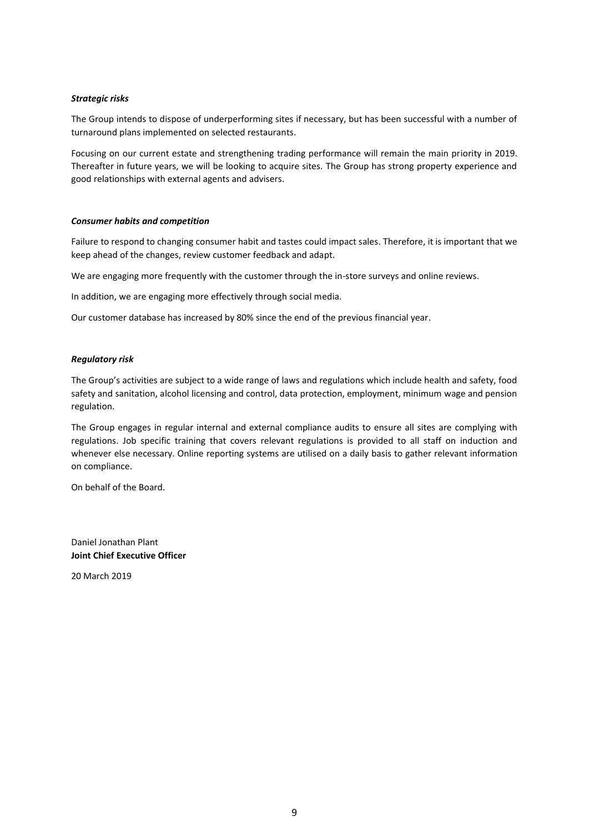# *Strategic risks*

The Group intends to dispose of underperforming sites if necessary, but has been successful with a number of turnaround plans implemented on selected restaurants.

Focusing on our current estate and strengthening trading performance will remain the main priority in 2019. Thereafter in future years, we will be looking to acquire sites. The Group has strong property experience and good relationships with external agents and advisers.

#### *Consumer habits and competition*

Failure to respond to changing consumer habit and tastes could impact sales. Therefore, it is important that we keep ahead of the changes, review customer feedback and adapt.

We are engaging more frequently with the customer through the in-store surveys and online reviews.

In addition, we are engaging more effectively through social media.

Our customer database has increased by 80% since the end of the previous financial year.

#### *Regulatory risk*

The Group's activities are subject to a wide range of laws and regulations which include health and safety, food safety and sanitation, alcohol licensing and control, data protection, employment, minimum wage and pension regulation.

The Group engages in regular internal and external compliance audits to ensure all sites are complying with regulations. Job specific training that covers relevant regulations is provided to all staff on induction and whenever else necessary. Online reporting systems are utilised on a daily basis to gather relevant information on compliance.

On behalf of the Board.

Daniel Jonathan Plant **Joint Chief Executive Officer**

20 March 2019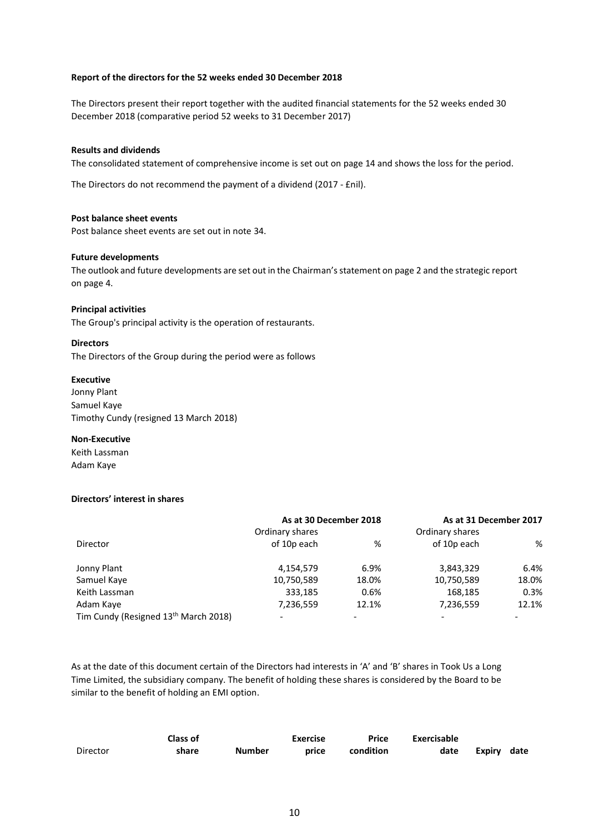#### **Report of the directors for the 52 weeks ended 30 December 2018**

The Directors present their report together with the audited financial statements for the 52 weeks ended 30 December 2018 (comparative period 52 weeks to 31 December 2017)

#### **Results and dividends**

The consolidated statement of comprehensive income is set out on page 14 and shows the loss for the period.

The Directors do not recommend the payment of a dividend (2017 - £nil).

#### **Post balance sheet events**

Post balance sheet events are set out in note 34.

#### **Future developments**

The outlook and future developments are set out in the Chairman's statement on page 2 and the strategic report on page 4.

#### **Principal activities**

The Group's principal activity is the operation of restaurants.

#### **Directors**

The Directors of the Group during the period were as follows

#### **Executive**

Jonny Plant Samuel Kaye Timothy Cundy (resigned 13 March 2018)

#### **Non-Executive**

Keith Lassman Adam Kaye

#### **Directors' interest in shares**

|                                      | As at 30 December 2018 |       | As at 31 December 2017 |       |
|--------------------------------------|------------------------|-------|------------------------|-------|
|                                      | Ordinary shares        |       | Ordinary shares        |       |
| Director                             | of 10p each            | %     | of 10p each            | %     |
| Jonny Plant                          | 4,154,579              | 6.9%  | 3,843,329              | 6.4%  |
| Samuel Kaye                          | 10,750,589             | 18.0% | 10,750,589             | 18.0% |
| Keith Lassman                        | 333,185                | 0.6%  | 168,185                | 0.3%  |
| Adam Kaye                            | 7,236,559              | 12.1% | 7,236,559              | 12.1% |
| Tim Cundy (Resigned 13th March 2018) |                        |       |                        | -     |

As at the date of this document certain of the Directors had interests in 'A' and 'B' shares in Took Us a Long Time Limited, the subsidiary company. The benefit of holding these shares is considered by the Board to be similar to the benefit of holding an EMI option.

|          | Class of |               | <b>Exercise</b> | Price     | Exercisable |             |  |
|----------|----------|---------------|-----------------|-----------|-------------|-------------|--|
| Director | share    | <b>Number</b> | price           | condition | date        | Expiry date |  |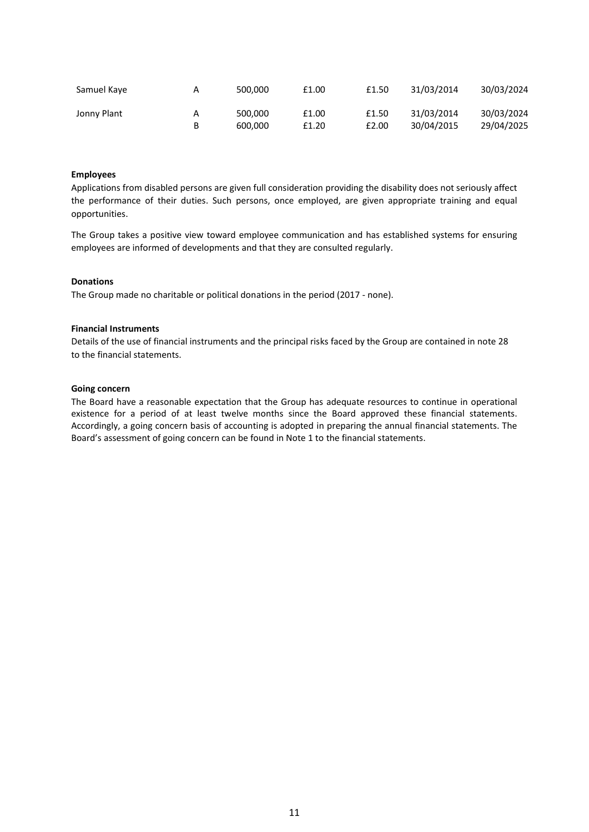| Samuel Kaye | А | 500,000 | £1.00 | £1.50 | 31/03/2014 | 30/03/2024 |
|-------------|---|---------|-------|-------|------------|------------|
| Jonny Plant | A | 500,000 | £1.00 | £1.50 | 31/03/2014 | 30/03/2024 |
|             |   | 600.000 | £1.20 | £2.00 | 30/04/2015 | 29/04/2025 |

#### **Employees**

Applications from disabled persons are given full consideration providing the disability does not seriously affect the performance of their duties. Such persons, once employed, are given appropriate training and equal opportunities.

The Group takes a positive view toward employee communication and has established systems for ensuring employees are informed of developments and that they are consulted regularly.

#### **Donations**

The Group made no charitable or political donations in the period (2017 - none).

#### **Financial Instruments**

Details of the use of financial instruments and the principal risks faced by the Group are contained in note 28 to the financial statements.

#### **Going concern**

The Board have a reasonable expectation that the Group has adequate resources to continue in operational existence for a period of at least twelve months since the Board approved these financial statements. Accordingly, a going concern basis of accounting is adopted in preparing the annual financial statements. The Board's assessment of going concern can be found in Note 1 to the financial statements.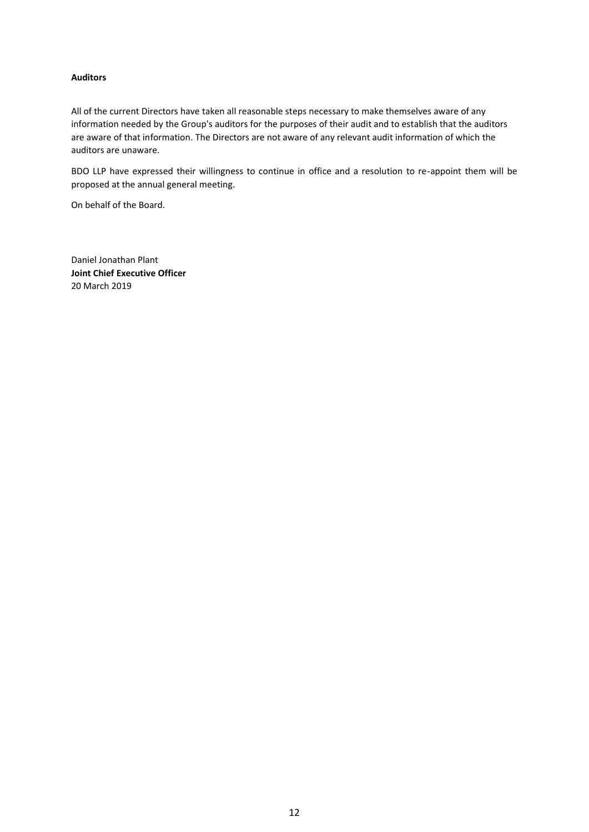# **Auditors**

All of the current Directors have taken all reasonable steps necessary to make themselves aware of any information needed by the Group's auditors for the purposes of their audit and to establish that the auditors are aware of that information. The Directors are not aware of any relevant audit information of which the auditors are unaware.

BDO LLP have expressed their willingness to continue in office and a resolution to re-appoint them will be proposed at the annual general meeting.

On behalf of the Board.

Daniel Jonathan Plant **Joint Chief Executive Officer** 20 March 2019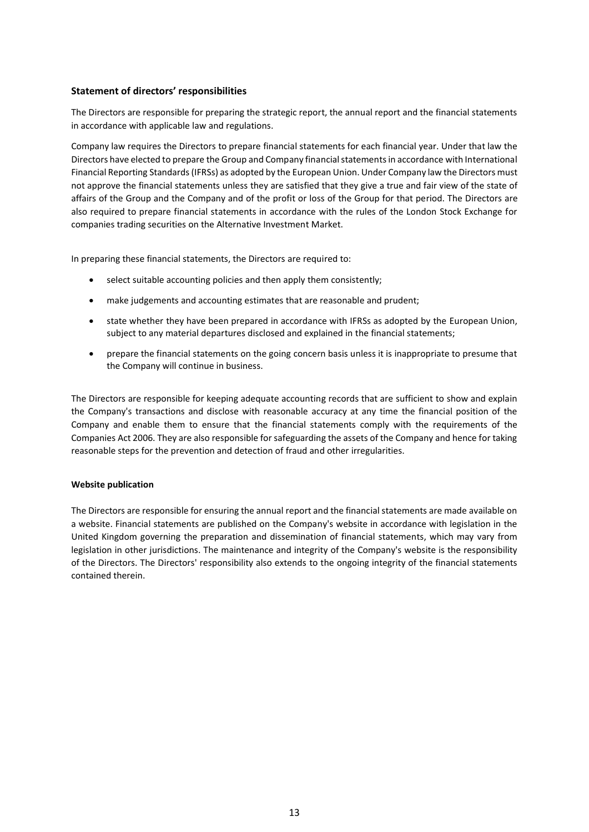# **Statement of directors' responsibilities**

The Directors are responsible for preparing the strategic report, the annual report and the financial statements in accordance with applicable law and regulations.

Company law requires the Directors to prepare financial statements for each financial year. Under that law the Directors have elected to prepare the Group and Company financial statements in accordance with International Financial Reporting Standards (IFRSs) as adopted by the European Union. Under Company law the Directors must not approve the financial statements unless they are satisfied that they give a true and fair view of the state of affairs of the Group and the Company and of the profit or loss of the Group for that period. The Directors are also required to prepare financial statements in accordance with the rules of the London Stock Exchange for companies trading securities on the Alternative Investment Market.

In preparing these financial statements, the Directors are required to:

- $\bullet$  select suitable accounting policies and then apply them consistently;
- make judgements and accounting estimates that are reasonable and prudent;
- x state whether they have been prepared in accordance with IFRSs as adopted by the European Union, subject to any material departures disclosed and explained in the financial statements;
- prepare the financial statements on the going concern basis unless it is inappropriate to presume that the Company will continue in business.

The Directors are responsible for keeping adequate accounting records that are sufficient to show and explain the Company's transactions and disclose with reasonable accuracy at any time the financial position of the Company and enable them to ensure that the financial statements comply with the requirements of the Companies Act 2006. They are also responsible for safeguarding the assets of the Company and hence for taking reasonable steps for the prevention and detection of fraud and other irregularities.

# **Website publication**

The Directors are responsible for ensuring the annual report and the financial statements are made available on a website. Financial statements are published on the Company's website in accordance with legislation in the United Kingdom governing the preparation and dissemination of financial statements, which may vary from legislation in other jurisdictions. The maintenance and integrity of the Company's website is the responsibility of the Directors. The Directors' responsibility also extends to the ongoing integrity of the financial statements contained therein.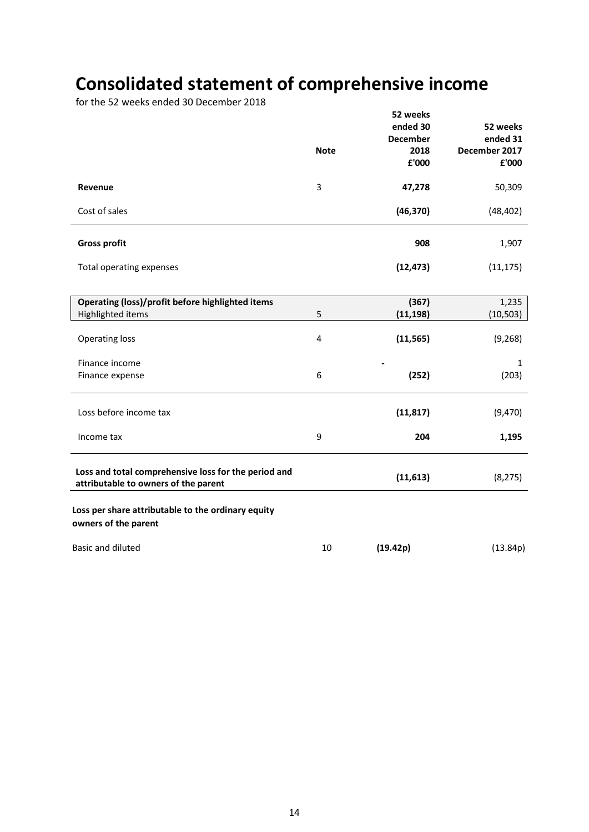# **Consolidated statement of comprehensive income**

|                                                                                              | <b>Note</b> | 52 weeks<br>ended 30<br><b>December</b><br>2018<br>£'000 | 52 weeks<br>ended 31<br>December 2017<br>£'000 |
|----------------------------------------------------------------------------------------------|-------------|----------------------------------------------------------|------------------------------------------------|
| Revenue                                                                                      | 3           | 47,278                                                   | 50,309                                         |
| Cost of sales                                                                                |             | (46, 370)                                                | (48, 402)                                      |
| <b>Gross profit</b>                                                                          |             | 908                                                      | 1,907                                          |
| Total operating expenses                                                                     |             | (12, 473)                                                | (11, 175)                                      |
|                                                                                              |             |                                                          |                                                |
| Operating (loss)/profit before highlighted items<br>Highlighted items                        | 5           | (367)<br>(11, 198)                                       | 1,235<br>(10, 503)                             |
| <b>Operating loss</b>                                                                        | 4           | (11, 565)                                                | (9, 268)                                       |
| Finance income<br>Finance expense                                                            | 6           | (252)                                                    | $\mathbf{1}$<br>(203)                          |
| Loss before income tax                                                                       |             | (11, 817)                                                | (9, 470)                                       |
| Income tax                                                                                   | 9           | 204                                                      | 1,195                                          |
| Loss and total comprehensive loss for the period and<br>attributable to owners of the parent |             | (11, 613)                                                | (8, 275)                                       |
| Loss per share attributable to the ordinary equity<br>owners of the parent                   |             |                                                          |                                                |
| <b>Basic and diluted</b>                                                                     | 10          | (19.42p)                                                 | (13.84p)                                       |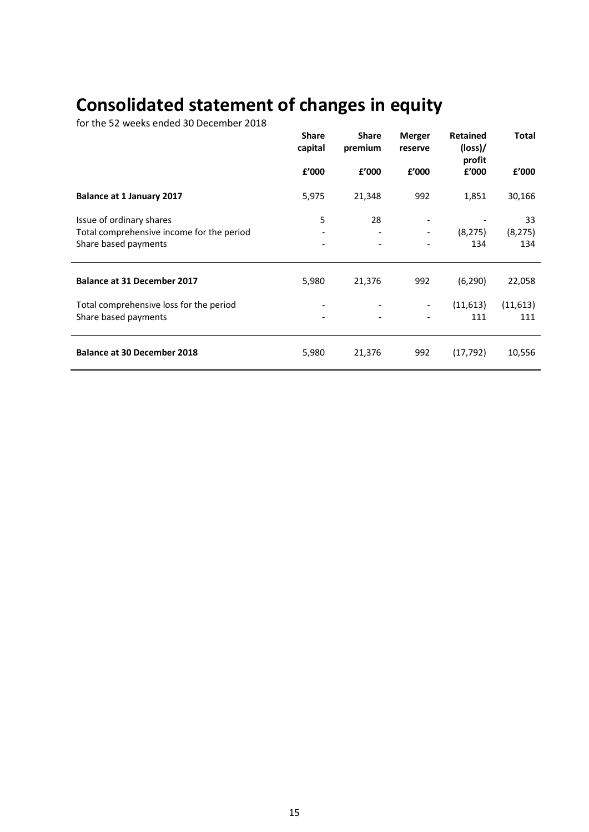# **Consolidated statement of changes in equity**

|                                           | <b>Share</b><br><b>Share</b><br>capital<br>premium |        | <b>Merger</b><br>reserve | <b>Retained</b><br>$(\text{loss})$<br>profit | <b>Total</b> |  |
|-------------------------------------------|----------------------------------------------------|--------|--------------------------|----------------------------------------------|--------------|--|
|                                           | £'000                                              | £'000  | £'000                    | f'000                                        | £'000        |  |
| <b>Balance at 1 January 2017</b>          | 5,975                                              | 21,348 | 992                      | 1,851                                        | 30,166       |  |
| Issue of ordinary shares                  | 5                                                  | 28     |                          |                                              | 33           |  |
| Total comprehensive income for the period | -                                                  |        | $\overline{\phantom{a}}$ | (8, 275)                                     | (8, 275)     |  |
| Share based payments                      |                                                    |        |                          | 134                                          | 134          |  |
| <b>Balance at 31 December 2017</b>        | 5,980                                              | 21,376 | 992                      | (6, 290)                                     | 22,058       |  |
| Total comprehensive loss for the period   | -                                                  |        | $\overline{\phantom{a}}$ | (11,613)                                     | (11, 613)    |  |
| Share based payments                      |                                                    |        |                          | 111                                          | 111          |  |
| <b>Balance at 30 December 2018</b>        | 5,980                                              | 21,376 | 992                      | (17, 792)                                    | 10,556       |  |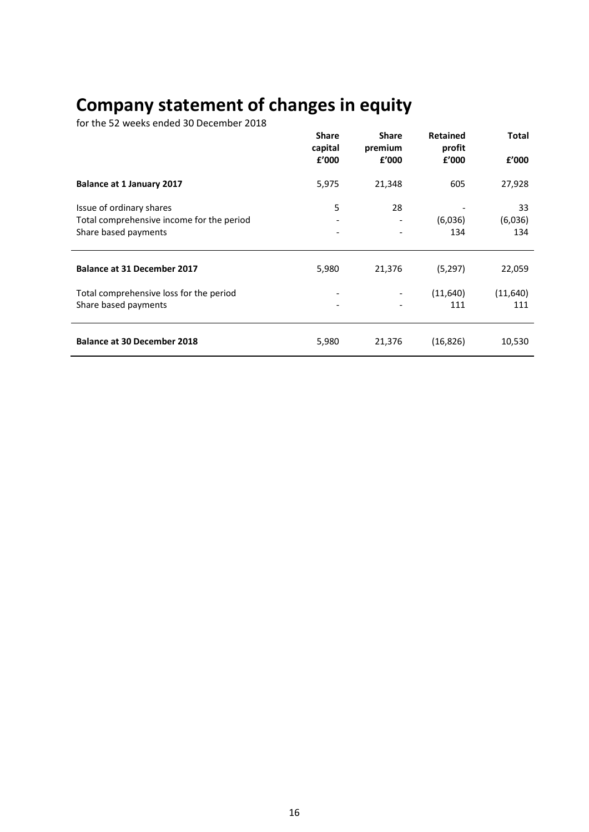# **Company statement of changes in equity**

|                                           | <b>Share</b><br>capital  | <b>Share</b><br>premium | <b>Retained</b><br>profit | <b>Total</b> |
|-------------------------------------------|--------------------------|-------------------------|---------------------------|--------------|
|                                           | f'000                    | f'000                   | f'000                     | £'000        |
| <b>Balance at 1 January 2017</b>          | 5,975                    | 21,348                  | 605                       | 27,928       |
| Issue of ordinary shares                  | 5                        | 28                      |                           | 33           |
| Total comprehensive income for the period |                          |                         | (6,036)                   | (6,036)      |
| Share based payments                      |                          |                         | 134                       | 134          |
| <b>Balance at 31 December 2017</b>        | 5,980                    | 21,376                  | (5,297)                   | 22,059       |
| Total comprehensive loss for the period   | $\overline{\phantom{a}}$ |                         | (11,640)                  | (11,640)     |
| Share based payments                      |                          |                         | 111                       | 111          |
| <b>Balance at 30 December 2018</b>        | 5,980                    | 21,376                  | (16, 826)                 | 10,530       |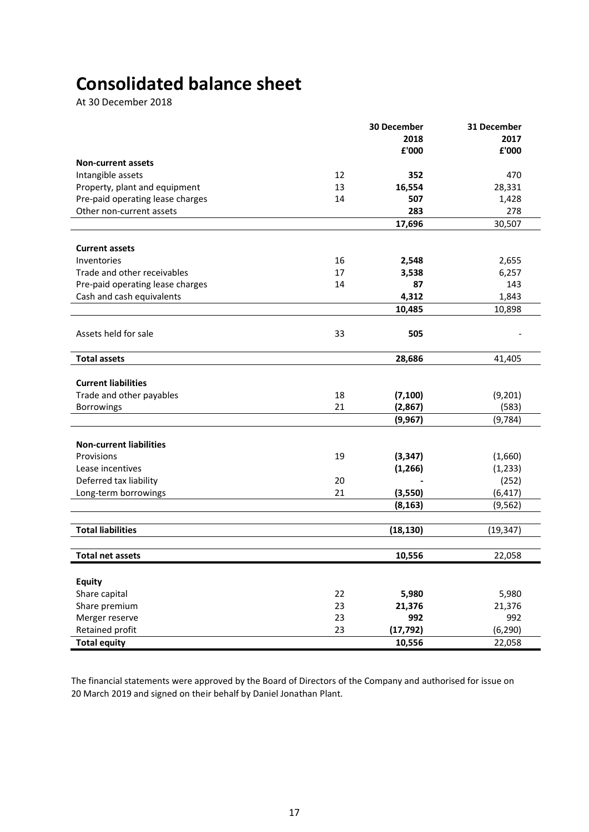# **Consolidated balance sheet**

At 30 December 2018

|                                  |    | 30 December | 31 December |
|----------------------------------|----|-------------|-------------|
|                                  |    | 2018        | 2017        |
|                                  |    | £'000       | £'000       |
| <b>Non-current assets</b>        |    |             |             |
| Intangible assets                | 12 | 352         | 470         |
| Property, plant and equipment    | 13 | 16,554      | 28,331      |
| Pre-paid operating lease charges | 14 | 507         | 1,428       |
| Other non-current assets         |    | 283         | 278         |
|                                  |    | 17,696      | 30,507      |
|                                  |    |             |             |
| <b>Current assets</b>            |    |             |             |
| Inventories                      | 16 | 2,548       | 2,655       |
| Trade and other receivables      | 17 | 3,538       | 6,257       |
| Pre-paid operating lease charges | 14 | 87          | 143         |
| Cash and cash equivalents        |    | 4,312       | 1,843       |
|                                  |    | 10,485      | 10,898      |
|                                  |    |             |             |
| Assets held for sale             | 33 | 505         |             |
|                                  |    |             |             |
| <b>Total assets</b>              |    | 28,686      | 41,405      |
|                                  |    |             |             |
| <b>Current liabilities</b>       |    |             |             |
| Trade and other payables         | 18 | (7, 100)    | (9,201)     |
| <b>Borrowings</b>                | 21 | (2,867)     | (583)       |
|                                  |    | (9, 967)    | (9, 784)    |
|                                  |    |             |             |
| <b>Non-current liabilities</b>   |    |             |             |
| Provisions                       | 19 | (3, 347)    | (1,660)     |
| Lease incentives                 |    | (1, 266)    | (1, 233)    |
| Deferred tax liability           | 20 |             | (252)       |
| Long-term borrowings             | 21 | (3,550)     | (6, 417)    |
|                                  |    |             |             |
|                                  |    | (8, 163)    | (9, 562)    |
|                                  |    |             |             |
| <b>Total liabilities</b>         |    | (18, 130)   | (19, 347)   |
|                                  |    |             |             |
| <b>Total net assets</b>          |    | 10,556      | 22,058      |
|                                  |    |             |             |
| <b>Equity</b>                    |    |             |             |
| Share capital                    | 22 | 5,980       | 5,980       |
| Share premium                    | 23 | 21,376      | 21,376      |
| Merger reserve                   | 23 | 992         | 992         |
| Retained profit                  | 23 | (17, 792)   | (6, 290)    |
| <b>Total equity</b>              |    | 10,556      | 22,058      |

The financial statements were approved by the Board of Directors of the Company and authorised for issue on 20 March 2019 and signed on their behalf by Daniel Jonathan Plant.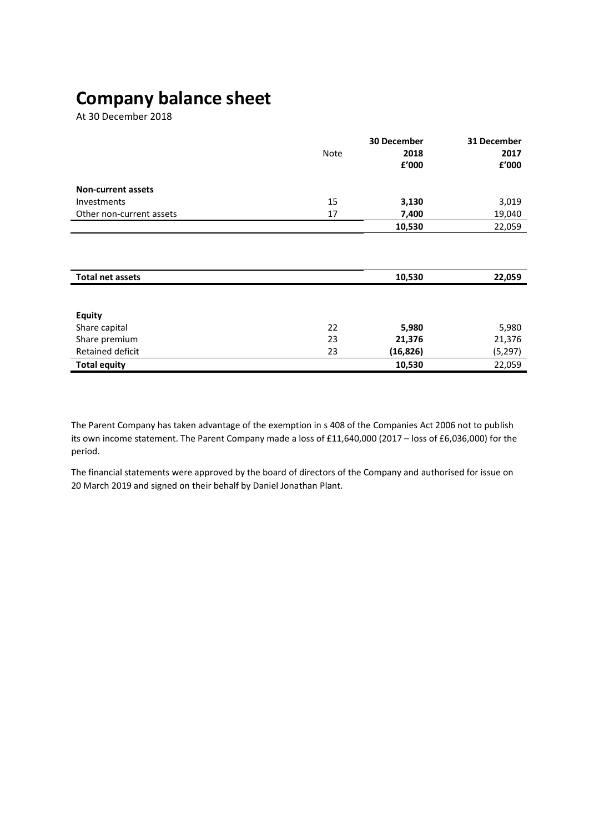# **Company balance sheet**

At 30 December 2018

|                           |             | 30 December | 31 December |
|---------------------------|-------------|-------------|-------------|
|                           | <b>Note</b> | 2018        | 2017        |
|                           |             | £'000       | £'000       |
|                           |             |             |             |
| <b>Non-current assets</b> |             |             |             |
| Investments               | 15          | 3,130       | 3,019       |
| Other non-current assets  | 17          | 7,400       | 19,040      |
|                           |             | 10,530      | 22,059      |
|                           |             |             |             |
|                           |             |             |             |
|                           |             |             |             |
| <b>Total net assets</b>   |             | 10,530      | 22,059      |
|                           |             |             |             |
|                           |             |             |             |
| <b>Equity</b>             |             |             |             |
| Share capital             | 22          | 5,980       | 5,980       |
| Share premium             | 23          | 21,376      | 21,376      |
| Retained deficit          | 23          | (16, 826)   | (5, 297)    |
| <b>Total equity</b>       |             | 10,530      | 22,059      |

The Parent Company has taken advantage of the exemption in s 408 of the Companies Act 2006 not to publish its own income statement. The Parent Company made a loss of £11,640,000 (2017 – loss of £6,036,000) for the period.

The financial statements were approved by the board of directors of the Company and authorised for issue on 20 March 2019 and signed on their behalf by Daniel Jonathan Plant.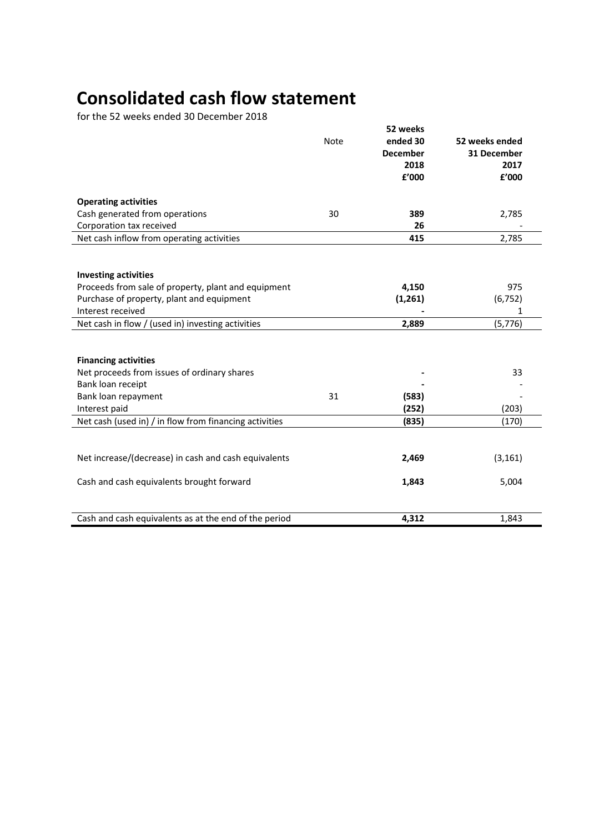# **Consolidated cash flow statement**

|                                                        |             | 52 weeks        |                |
|--------------------------------------------------------|-------------|-----------------|----------------|
|                                                        | <b>Note</b> | ended 30        | 52 weeks ended |
|                                                        |             | <b>December</b> | 31 December    |
|                                                        |             | 2018            | 2017           |
|                                                        |             | £'000           | £'000          |
|                                                        |             |                 |                |
| <b>Operating activities</b>                            |             |                 |                |
| Cash generated from operations                         | 30          | 389             | 2,785          |
| Corporation tax received                               |             | 26              |                |
| Net cash inflow from operating activities              |             | 415             | 2,785          |
|                                                        |             |                 |                |
|                                                        |             |                 |                |
| <b>Investing activities</b>                            |             |                 |                |
| Proceeds from sale of property, plant and equipment    |             | 4,150           | 975            |
| Purchase of property, plant and equipment              |             | (1, 261)        | (6, 752)       |
| Interest received                                      |             |                 | 1              |
| Net cash in flow / (used in) investing activities      |             | 2,889           | (5, 776)       |
|                                                        |             |                 |                |
|                                                        |             |                 |                |
| <b>Financing activities</b>                            |             |                 |                |
| Net proceeds from issues of ordinary shares            |             |                 | 33             |
| Bank loan receipt                                      |             |                 |                |
| Bank loan repayment                                    | 31          | (583)           |                |
| Interest paid                                          |             | (252)           | (203)          |
| Net cash (used in) / in flow from financing activities |             | (835)           | (170)          |
|                                                        |             |                 |                |
|                                                        |             |                 |                |
| Net increase/(decrease) in cash and cash equivalents   |             | 2,469           | (3, 161)       |
|                                                        |             |                 |                |
| Cash and cash equivalents brought forward              |             | 1,843           | 5,004          |
|                                                        |             |                 |                |
|                                                        |             |                 |                |
| Cash and cash equivalents as at the end of the period  |             | 4,312           | 1,843          |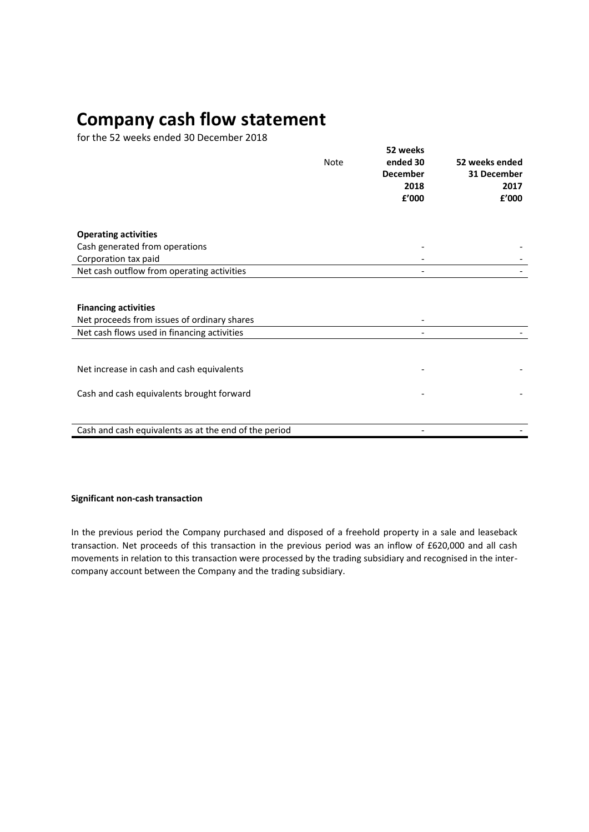# **Company cash flow statement**

for the 52 weeks ended 30 December 2018

|                                                                            | <b>Note</b> | 52 weeks<br>ended 30<br><b>December</b><br>2018<br>£'000 | 52 weeks ended<br>31 December<br>2017<br>£'000 |
|----------------------------------------------------------------------------|-------------|----------------------------------------------------------|------------------------------------------------|
| <b>Operating activities</b>                                                |             |                                                          |                                                |
| Cash generated from operations                                             |             |                                                          |                                                |
| Corporation tax paid                                                       |             |                                                          |                                                |
| Net cash outflow from operating activities                                 |             |                                                          |                                                |
| <b>Financing activities</b><br>Net proceeds from issues of ordinary shares |             |                                                          |                                                |
| Net cash flows used in financing activities                                |             |                                                          |                                                |
| Net increase in cash and cash equivalents                                  |             |                                                          |                                                |
| Cash and cash equivalents brought forward                                  |             |                                                          |                                                |
| Cash and cash equivalents as at the end of the period                      |             |                                                          |                                                |

# **Significant non-cash transaction**

In the previous period the Company purchased and disposed of a freehold property in a sale and leaseback transaction. Net proceeds of this transaction in the previous period was an inflow of £620,000 and all cash movements in relation to this transaction were processed by the trading subsidiary and recognised in the intercompany account between the Company and the trading subsidiary.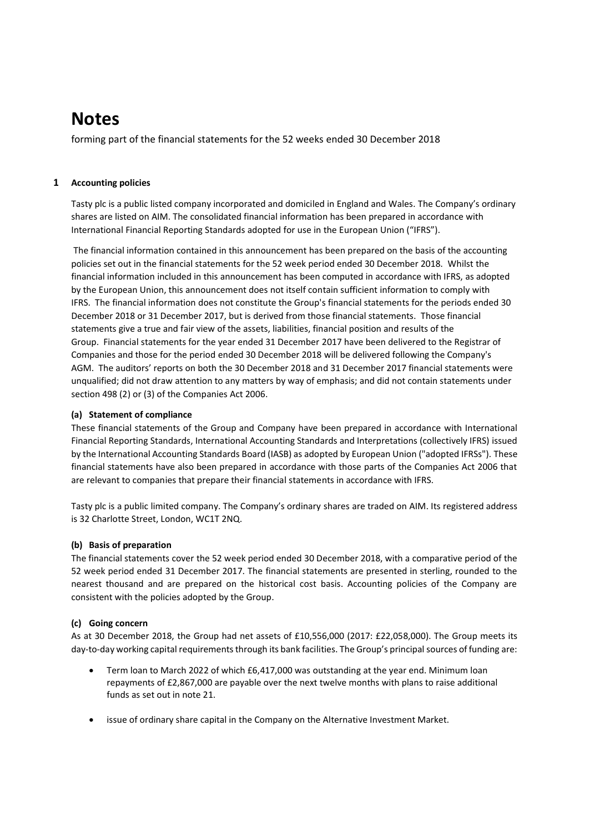# **Notes**

forming part of the financial statements for the 52 weeks ended 30 December 2018

# **1 Accounting policies**

Tasty plc is a public listed company incorporated and domiciled in England and Wales. The Company's ordinary shares are listed on AIM. The consolidated financial information has been prepared in accordance with International Financial Reporting Standards adopted for use in the European Union ("IFRS").

The financial information contained in this announcement has been prepared on the basis of the accounting policies set out in the financial statements for the 52 week period ended 30 December 2018. Whilst the financial information included in this announcement has been computed in accordance with IFRS, as adopted by the European Union, this announcement does not itself contain sufficient information to comply with IFRS. The financial information does not constitute the Group's financial statements for the periods ended 30 December 2018 or 31 December 2017, but is derived from those financial statements. Those financial statements give a true and fair view of the assets, liabilities, financial position and results of the Group. Financial statements for the year ended 31 December 2017 have been delivered to the Registrar of Companies and those for the period ended 30 December 2018 will be delivered following the Company's AGM. The auditors' reports on both the 30 December 2018 and 31 December 2017 financial statements were unqualified; did not draw attention to any matters by way of emphasis; and did not contain statements under section 498 (2) or (3) of the Companies Act 2006.

# **(a) Statement of compliance**

These financial statements of the Group and Company have been prepared in accordance with International Financial Reporting Standards, International Accounting Standards and Interpretations (collectively IFRS) issued by the International Accounting Standards Board (IASB) as adopted by European Union ("adopted IFRSs"). These financial statements have also been prepared in accordance with those parts of the Companies Act 2006 that are relevant to companies that prepare their financial statements in accordance with IFRS.

Tasty plc is a public limited company. The Company's ordinary shares are traded on AIM. Its registered address is 32 Charlotte Street, London, WC1T 2NQ.

# **(b) Basis of preparation**

The financial statements cover the 52 week period ended 30 December 2018, with a comparative period of the 52 week period ended 31 December 2017. The financial statements are presented in sterling, rounded to the nearest thousand and are prepared on the historical cost basis. Accounting policies of the Company are consistent with the policies adopted by the Group.

# **(c) Going concern**

As at 30 December 2018, the Group had net assets of £10,556,000 (2017: £22,058,000). The Group meets its day-to-day working capital requirements through its bank facilities. The Group's principal sources of funding are:

- Term loan to March 2022 of which £6,417,000 was outstanding at the year end. Minimum loan repayments of £2,867,000 are payable over the next twelve months with plans to raise additional funds as set out in note 21.
- issue of ordinary share capital in the Company on the Alternative Investment Market.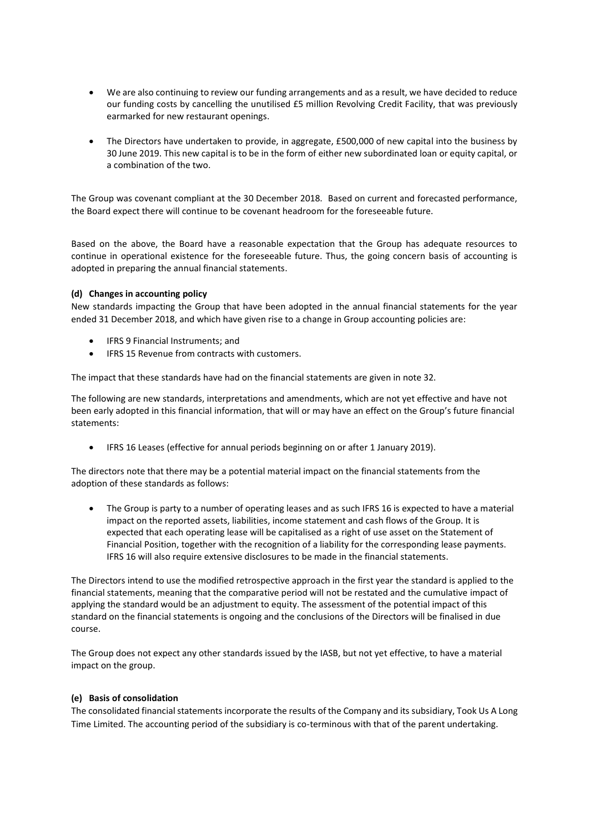- We are also continuing to review our funding arrangements and as a result, we have decided to reduce our funding costs by cancelling the unutilised £5 million Revolving Credit Facility, that was previously earmarked for new restaurant openings.
- The Directors have undertaken to provide, in aggregate, £500,000 of new capital into the business by 30 June 2019. This new capital is to be in the form of either new subordinated loan or equity capital, or a combination of the two.

The Group was covenant compliant at the 30 December 2018. Based on current and forecasted performance, the Board expect there will continue to be covenant headroom for the foreseeable future.

Based on the above, the Board have a reasonable expectation that the Group has adequate resources to continue in operational existence for the foreseeable future. Thus, the going concern basis of accounting is adopted in preparing the annual financial statements.

# **(d) Changes in accounting policy**

New standards impacting the Group that have been adopted in the annual financial statements for the year ended 31 December 2018, and which have given rise to a change in Group accounting policies are:

- IFRS 9 Financial Instruments; and
- IFRS 15 Revenue from contracts with customers.

The impact that these standards have had on the financial statements are given in note 32.

The following are new standards, interpretations and amendments, which are not yet effective and have not been early adopted in this financial information, that will or may have an effect on the Group's future financial statements:

• IFRS 16 Leases (effective for annual periods beginning on or after 1 January 2019).

The directors note that there may be a potential material impact on the financial statements from the adoption of these standards as follows:

The Group is party to a number of operating leases and as such IFRS 16 is expected to have a material impact on the reported assets, liabilities, income statement and cash flows of the Group. It is expected that each operating lease will be capitalised as a right of use asset on the Statement of Financial Position, together with the recognition of a liability for the corresponding lease payments. IFRS 16 will also require extensive disclosures to be made in the financial statements.

The Directors intend to use the modified retrospective approach in the first year the standard is applied to the financial statements, meaning that the comparative period will not be restated and the cumulative impact of applying the standard would be an adjustment to equity. The assessment of the potential impact of this standard on the financial statements is ongoing and the conclusions of the Directors will be finalised in due course.

The Group does not expect any other standards issued by the IASB, but not yet effective, to have a material impact on the group.

# **(e) Basis of consolidation**

The consolidated financial statements incorporate the results of the Company and its subsidiary, Took Us A Long Time Limited. The accounting period of the subsidiary is co-terminous with that of the parent undertaking.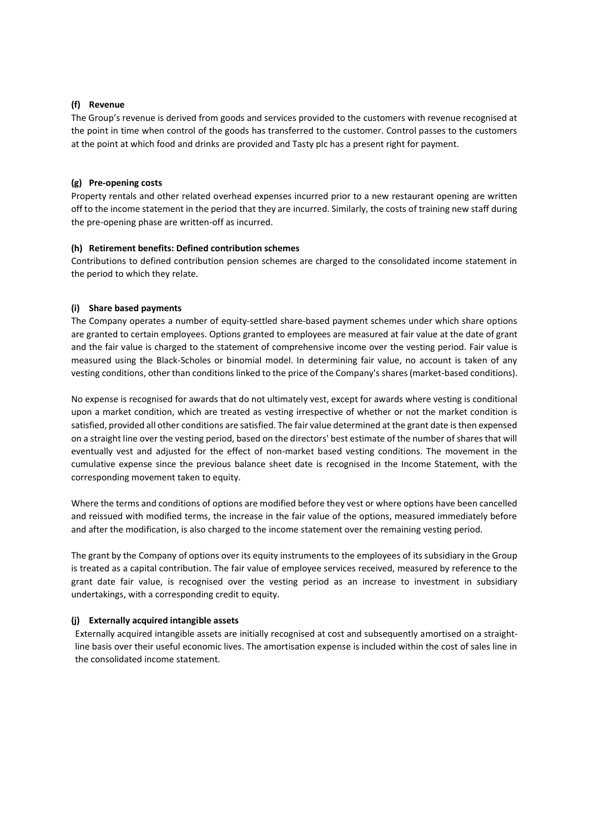# **(f) Revenue**

The Group's revenue is derived from goods and services provided to the customers with revenue recognised at the point in time when control of the goods has transferred to the customer. Control passes to the customers at the point at which food and drinks are provided and Tasty plc has a present right for payment.

# **(g) Pre-opening costs**

Property rentals and other related overhead expenses incurred prior to a new restaurant opening are written off to the income statement in the period that they are incurred. Similarly, the costs of training new staff during the pre-opening phase are written-off as incurred.

# **(h) Retirement benefits: Defined contribution schemes**

Contributions to defined contribution pension schemes are charged to the consolidated income statement in the period to which they relate.

# **(i) Share based payments**

The Company operates a number of equity-settled share-based payment schemes under which share options are granted to certain employees. Options granted to employees are measured at fair value at the date of grant and the fair value is charged to the statement of comprehensive income over the vesting period. Fair value is measured using the Black-Scholes or binomial model. In determining fair value, no account is taken of any vesting conditions, other than conditions linked to the price of the Company's shares (market-based conditions).

No expense is recognised for awards that do not ultimately vest, except for awards where vesting is conditional upon a market condition, which are treated as vesting irrespective of whether or not the market condition is satisfied, provided all other conditions are satisfied. The fair value determined at the grant date is then expensed on a straight line over the vesting period, based on the directors' best estimate of the number of shares that will eventually vest and adjusted for the effect of non-market based vesting conditions. The movement in the cumulative expense since the previous balance sheet date is recognised in the Income Statement, with the corresponding movement taken to equity.

Where the terms and conditions of options are modified before they vest or where options have been cancelled and reissued with modified terms, the increase in the fair value of the options, measured immediately before and after the modification, is also charged to the income statement over the remaining vesting period.

The grant by the Company of options over its equity instruments to the employees of its subsidiary in the Group is treated as a capital contribution. The fair value of employee services received, measured by reference to the grant date fair value, is recognised over the vesting period as an increase to investment in subsidiary undertakings, with a corresponding credit to equity.

# **(j) Externally acquired intangible assets**

Externally acquired intangible assets are initially recognised at cost and subsequently amortised on a straightline basis over their useful economic lives. The amortisation expense is included within the cost of sales line in the consolidated income statement.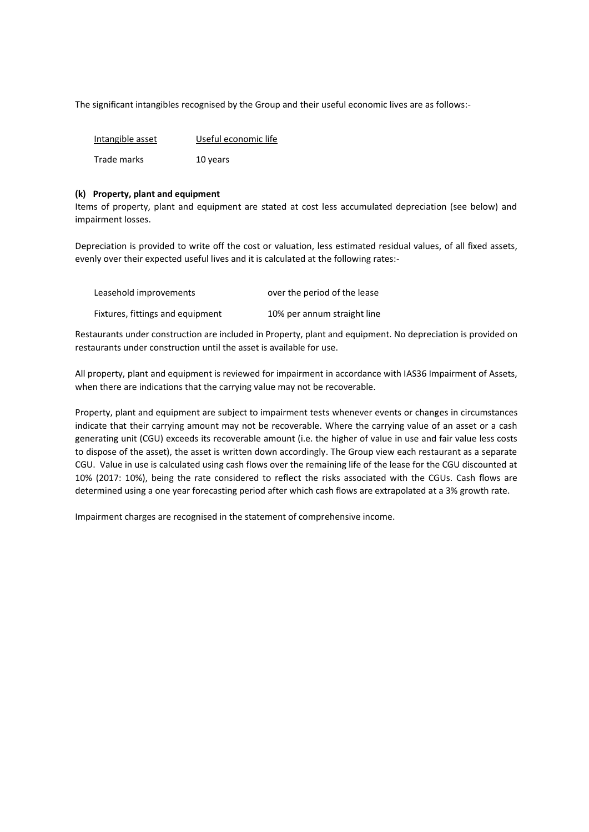The significant intangibles recognised by the Group and their useful economic lives are as follows:-

| Intangible asset | Useful economic life |
|------------------|----------------------|
| Trade marks      | 10 years             |

#### **(k) Property, plant and equipment**

Items of property, plant and equipment are stated at cost less accumulated depreciation (see below) and impairment losses.

Depreciation is provided to write off the cost or valuation, less estimated residual values, of all fixed assets, evenly over their expected useful lives and it is calculated at the following rates:-

| Leasehold improvements           | over the period of the lease |
|----------------------------------|------------------------------|
| Fixtures, fittings and equipment | 10% per annum straight line  |

Restaurants under construction are included in Property, plant and equipment. No depreciation is provided on restaurants under construction until the asset is available for use.

All property, plant and equipment is reviewed for impairment in accordance with IAS36 Impairment of Assets, when there are indications that the carrying value may not be recoverable.

Property, plant and equipment are subject to impairment tests whenever events or changes in circumstances indicate that their carrying amount may not be recoverable. Where the carrying value of an asset or a cash generating unit (CGU) exceeds its recoverable amount (i.e. the higher of value in use and fair value less costs to dispose of the asset), the asset is written down accordingly. The Group view each restaurant as a separate CGU. Value in use is calculated using cash flows over the remaining life of the lease for the CGU discounted at 10% (2017: 10%), being the rate considered to reflect the risks associated with the CGUs. Cash flows are determined using a one year forecasting period after which cash flows are extrapolated at a 3% growth rate.

Impairment charges are recognised in the statement of comprehensive income.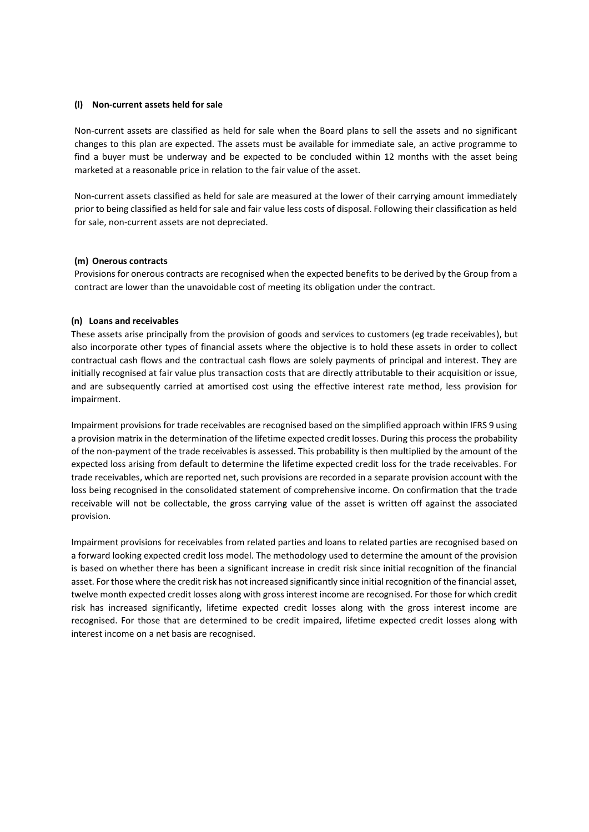#### **(l) Non-current assets held for sale**

Non-current assets are classified as held for sale when the Board plans to sell the assets and no significant changes to this plan are expected. The assets must be available for immediate sale, an active programme to find a buyer must be underway and be expected to be concluded within 12 months with the asset being marketed at a reasonable price in relation to the fair value of the asset.

Non-current assets classified as held for sale are measured at the lower of their carrying amount immediately prior to being classified as held for sale and fair value less costs of disposal. Following their classification as held for sale, non-current assets are not depreciated.

#### **(m) Onerous contracts**

Provisions for onerous contracts are recognised when the expected benefits to be derived by the Group from a contract are lower than the unavoidable cost of meeting its obligation under the contract.

#### **(n) Loans and receivables**

These assets arise principally from the provision of goods and services to customers (eg trade receivables), but also incorporate other types of financial assets where the objective is to hold these assets in order to collect contractual cash flows and the contractual cash flows are solely payments of principal and interest. They are initially recognised at fair value plus transaction costs that are directly attributable to their acquisition or issue, and are subsequently carried at amortised cost using the effective interest rate method, less provision for impairment.

Impairment provisions for trade receivables are recognised based on the simplified approach within IFRS 9 using a provision matrix in the determination of the lifetime expected credit losses. During this process the probability of the non-payment of the trade receivables is assessed. This probability is then multiplied by the amount of the expected loss arising from default to determine the lifetime expected credit loss for the trade receivables. For trade receivables, which are reported net, such provisions are recorded in a separate provision account with the loss being recognised in the consolidated statement of comprehensive income. On confirmation that the trade receivable will not be collectable, the gross carrying value of the asset is written off against the associated provision.

Impairment provisions for receivables from related parties and loans to related parties are recognised based on a forward looking expected credit loss model. The methodology used to determine the amount of the provision is based on whether there has been a significant increase in credit risk since initial recognition of the financial asset. For those where the credit risk has not increased significantly since initial recognition of the financial asset, twelve month expected credit losses along with gross interest income are recognised. For those for which credit risk has increased significantly, lifetime expected credit losses along with the gross interest income are recognised. For those that are determined to be credit impaired, lifetime expected credit losses along with interest income on a net basis are recognised.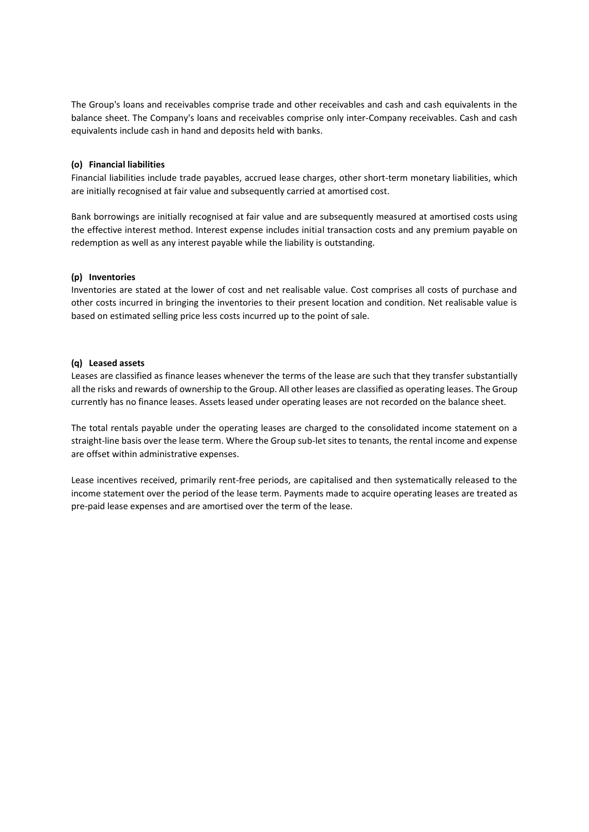The Group's loans and receivables comprise trade and other receivables and cash and cash equivalents in the balance sheet. The Company's loans and receivables comprise only inter-Company receivables. Cash and cash equivalents include cash in hand and deposits held with banks.

### **(o) Financial liabilities**

Financial liabilities include trade payables, accrued lease charges, other short-term monetary liabilities, which are initially recognised at fair value and subsequently carried at amortised cost.

Bank borrowings are initially recognised at fair value and are subsequently measured at amortised costs using the effective interest method. Interest expense includes initial transaction costs and any premium payable on redemption as well as any interest payable while the liability is outstanding.

#### **(p) Inventories**

Inventories are stated at the lower of cost and net realisable value. Cost comprises all costs of purchase and other costs incurred in bringing the inventories to their present location and condition. Net realisable value is based on estimated selling price less costs incurred up to the point of sale.

#### **(q) Leased assets**

Leases are classified as finance leases whenever the terms of the lease are such that they transfer substantially all the risks and rewards of ownership to the Group. All other leases are classified as operating leases. The Group currently has no finance leases. Assets leased under operating leases are not recorded on the balance sheet.

The total rentals payable under the operating leases are charged to the consolidated income statement on a straight-line basis over the lease term. Where the Group sub-let sites to tenants, the rental income and expense are offset within administrative expenses.

Lease incentives received, primarily rent-free periods, are capitalised and then systematically released to the income statement over the period of the lease term. Payments made to acquire operating leases are treated as pre-paid lease expenses and are amortised over the term of the lease.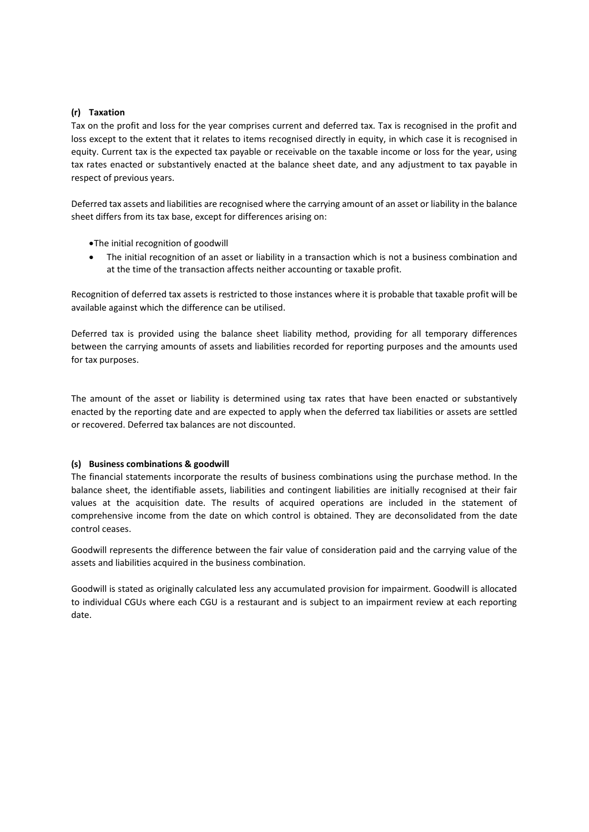# **(r) Taxation**

Tax on the profit and loss for the year comprises current and deferred tax. Tax is recognised in the profit and loss except to the extent that it relates to items recognised directly in equity, in which case it is recognised in equity. Current tax is the expected tax payable or receivable on the taxable income or loss for the year, using tax rates enacted or substantively enacted at the balance sheet date, and any adjustment to tax payable in respect of previous years.

Deferred tax assets and liabilities are recognised where the carrying amount of an asset or liability in the balance sheet differs from its tax base, except for differences arising on:

•The initial recognition of goodwill

• The initial recognition of an asset or liability in a transaction which is not a business combination and at the time of the transaction affects neither accounting or taxable profit.

Recognition of deferred tax assets is restricted to those instances where it is probable that taxable profit will be available against which the difference can be utilised.

Deferred tax is provided using the balance sheet liability method, providing for all temporary differences between the carrying amounts of assets and liabilities recorded for reporting purposes and the amounts used for tax purposes.

The amount of the asset or liability is determined using tax rates that have been enacted or substantively enacted by the reporting date and are expected to apply when the deferred tax liabilities or assets are settled or recovered. Deferred tax balances are not discounted.

# **(s) Business combinations & goodwill**

The financial statements incorporate the results of business combinations using the purchase method. In the balance sheet, the identifiable assets, liabilities and contingent liabilities are initially recognised at their fair values at the acquisition date. The results of acquired operations are included in the statement of comprehensive income from the date on which control is obtained. They are deconsolidated from the date control ceases.

Goodwill represents the difference between the fair value of consideration paid and the carrying value of the assets and liabilities acquired in the business combination.

Goodwill is stated as originally calculated less any accumulated provision for impairment. Goodwill is allocated to individual CGUs where each CGU is a restaurant and is subject to an impairment review at each reporting date.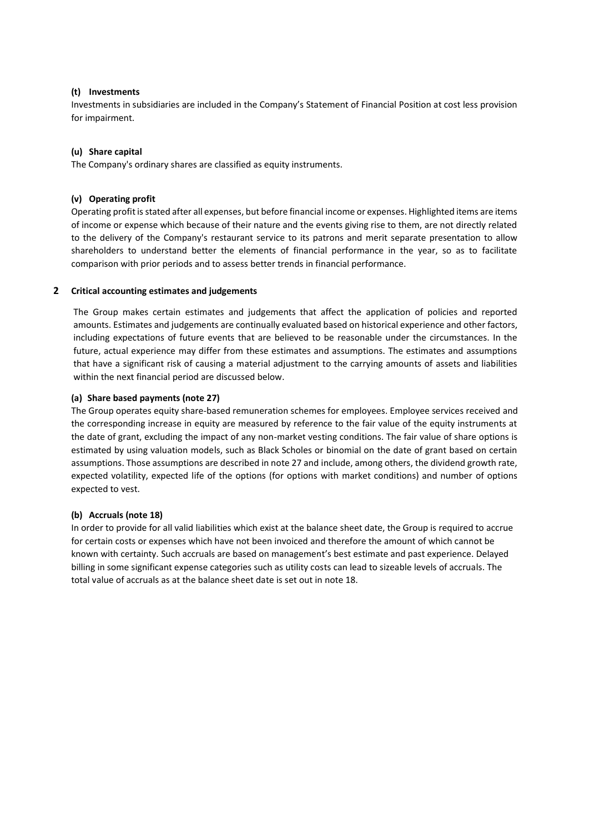# **(t) Investments**

Investments in subsidiaries are included in the Company's Statement of Financial Position at cost less provision for impairment.

# **(u) Share capital**

The Company's ordinary shares are classified as equity instruments.

# **(v) Operating profit**

Operating profit is stated after all expenses, but before financial income or expenses. Highlighted items are items of income or expense which because of their nature and the events giving rise to them, are not directly related to the delivery of the Company's restaurant service to its patrons and merit separate presentation to allow shareholders to understand better the elements of financial performance in the year, so as to facilitate comparison with prior periods and to assess better trends in financial performance.

# **2 Critical accounting estimates and judgements**

The Group makes certain estimates and judgements that affect the application of policies and reported amounts. Estimates and judgements are continually evaluated based on historical experience and other factors, including expectations of future events that are believed to be reasonable under the circumstances. In the future, actual experience may differ from these estimates and assumptions. The estimates and assumptions that have a significant risk of causing a material adjustment to the carrying amounts of assets and liabilities within the next financial period are discussed below.

# **(a) Share based payments (note 27)**

The Group operates equity share-based remuneration schemes for employees. Employee services received and the corresponding increase in equity are measured by reference to the fair value of the equity instruments at the date of grant, excluding the impact of any non-market vesting conditions. The fair value of share options is estimated by using valuation models, such as Black Scholes or binomial on the date of grant based on certain assumptions. Those assumptions are described in note 27 and include, among others, the dividend growth rate, expected volatility, expected life of the options (for options with market conditions) and number of options expected to vest.

# **(b) Accruals (note 18)**

In order to provide for all valid liabilities which exist at the balance sheet date, the Group is required to accrue for certain costs or expenses which have not been invoiced and therefore the amount of which cannot be known with certainty. Such accruals are based on management's best estimate and past experience. Delayed billing in some significant expense categories such as utility costs can lead to sizeable levels of accruals. The total value of accruals as at the balance sheet date is set out in note 18.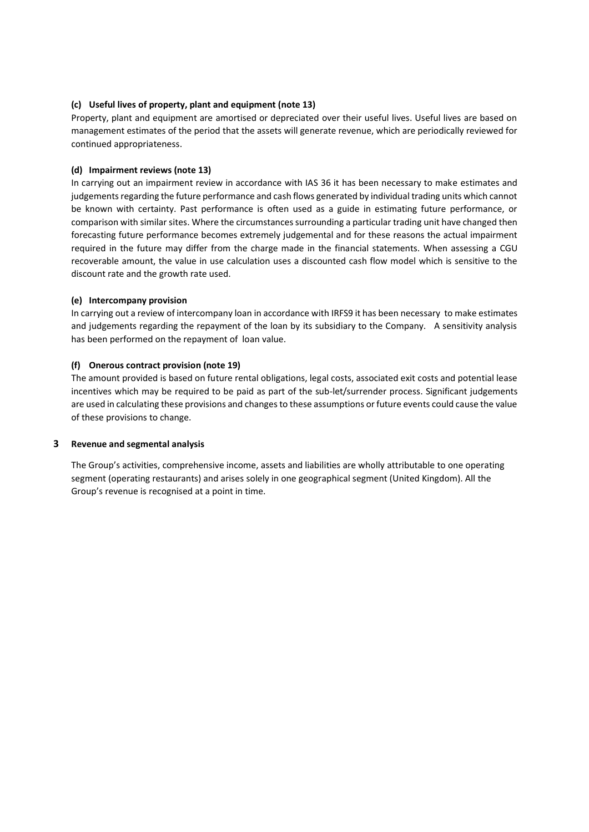# **(c) Useful lives of property, plant and equipment (note 13)**

Property, plant and equipment are amortised or depreciated over their useful lives. Useful lives are based on management estimates of the period that the assets will generate revenue, which are periodically reviewed for continued appropriateness.

# **(d) Impairment reviews (note 13)**

In carrying out an impairment review in accordance with IAS 36 it has been necessary to make estimates and judgements regarding the future performance and cash flows generated by individual trading units which cannot be known with certainty. Past performance is often used as a guide in estimating future performance, or comparison with similar sites. Where the circumstances surrounding a particular trading unit have changed then forecasting future performance becomes extremely judgemental and for these reasons the actual impairment required in the future may differ from the charge made in the financial statements. When assessing a CGU recoverable amount, the value in use calculation uses a discounted cash flow model which is sensitive to the discount rate and the growth rate used.

# **(e) Intercompany provision**

In carrying out a review of intercompany loan in accordance with IRFS9 it has been necessary to make estimates and judgements regarding the repayment of the loan by its subsidiary to the Company. A sensitivity analysis has been performed on the repayment of loan value.

# **(f) Onerous contract provision (note 19)**

The amount provided is based on future rental obligations, legal costs, associated exit costs and potential lease incentives which may be required to be paid as part of the sub-let/surrender process. Significant judgements are used in calculating these provisions and changes to these assumptions or future events could cause the value of these provisions to change.

# **3 Revenue and segmental analysis**

The Group's activities, comprehensive income, assets and liabilities are wholly attributable to one operating segment (operating restaurants) and arises solely in one geographical segment (United Kingdom). All the Group's revenue is recognised at a point in time.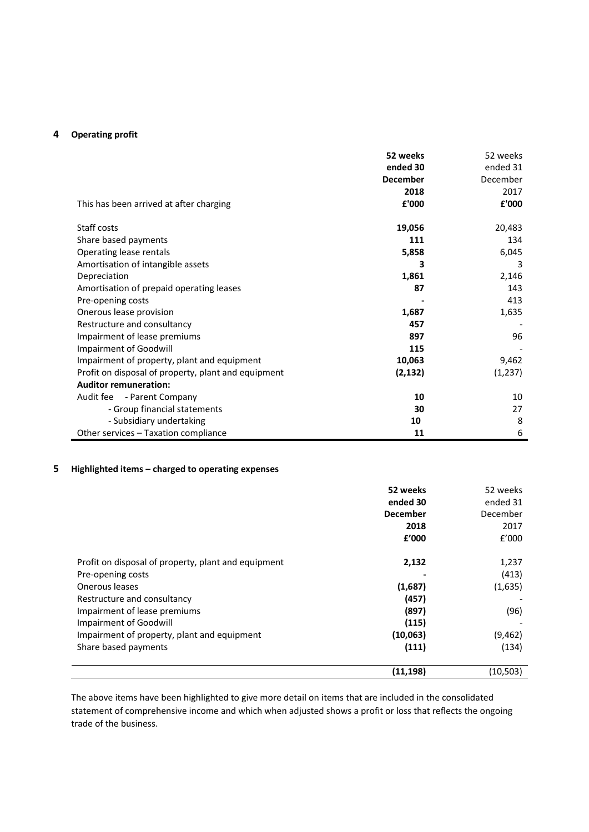# **4 Operating profit**

|                                                     | 52 weeks        | 52 weeks |
|-----------------------------------------------------|-----------------|----------|
|                                                     | ended 30        | ended 31 |
|                                                     | <b>December</b> | December |
|                                                     | 2018            | 2017     |
| This has been arrived at after charging             | £'000           | £'000    |
| Staff costs                                         | 19,056          | 20,483   |
| Share based payments                                | 111             | 134      |
| Operating lease rentals                             | 5,858           | 6,045    |
| Amortisation of intangible assets                   | 3               | 3        |
| Depreciation                                        | 1,861           | 2,146    |
| Amortisation of prepaid operating leases            | 87              | 143      |
| Pre-opening costs                                   |                 | 413      |
| Onerous lease provision                             | 1,687           | 1,635    |
| Restructure and consultancy                         | 457             |          |
| Impairment of lease premiums                        | 897             | 96       |
| <b>Impairment of Goodwill</b>                       | 115             |          |
| Impairment of property, plant and equipment         | 10,063          | 9,462    |
| Profit on disposal of property, plant and equipment | (2, 132)        | (1, 237) |
| <b>Auditor remuneration:</b>                        |                 |          |
| Audit fee - Parent Company                          | 10              | 10       |
| - Group financial statements                        | 30              | 27       |
| - Subsidiary undertaking                            | 10              | 8        |
| Other services - Taxation compliance                | 11              | 6        |

#### **5 Highlighted items – charged to operating expenses**

|                                                     | 52 weeks        | 52 weeks |
|-----------------------------------------------------|-----------------|----------|
|                                                     | ended 30        | ended 31 |
|                                                     | <b>December</b> | December |
|                                                     | 2018            | 2017     |
|                                                     | £'000           | f'000    |
|                                                     |                 |          |
| Profit on disposal of property, plant and equipment | 2,132           | 1,237    |
| Pre-opening costs                                   |                 | (413)    |
| Onerous leases                                      | (1,687)         | (1,635)  |
| Restructure and consultancy                         | (457)           |          |
| Impairment of lease premiums                        | (897)           | (96)     |
| Impairment of Goodwill                              | (115)           |          |
| Impairment of property, plant and equipment         | (10,063)        | (9, 462) |
| Share based payments                                | (111)           | (134)    |
|                                                     | (11, 198)       | (10,503) |

The above items have been highlighted to give more detail on items that are included in the consolidated statement of comprehensive income and which when adjusted shows a profit or loss that reflects the ongoing trade of the business.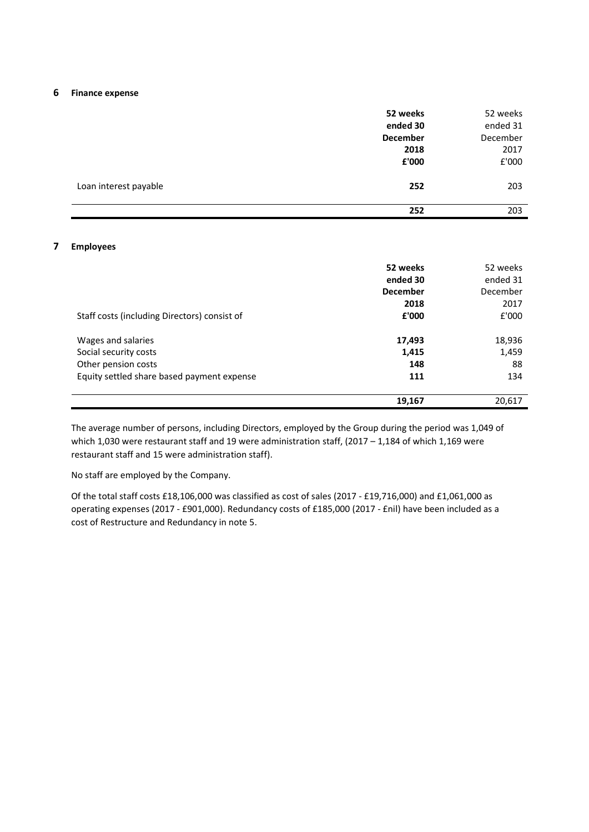#### **6 Finance expense**

|                       | 52 weeks<br>ended 30 | 52 weeks<br>ended 31 |
|-----------------------|----------------------|----------------------|
|                       | <b>December</b>      | December             |
|                       | 2018                 | 2017                 |
|                       | £'000                | £'000                |
| Loan interest payable | 252                  | 203                  |
|                       | 252                  | 203                  |

# **7 Employees**

|                                              | 52 weeks<br>ended 30 | 52 weeks<br>ended 31 |
|----------------------------------------------|----------------------|----------------------|
|                                              | <b>December</b>      | December             |
|                                              | 2018                 | 2017                 |
| Staff costs (including Directors) consist of | £'000                | £'000                |
| Wages and salaries                           | 17,493               | 18,936               |
| Social security costs                        | 1,415                | 1,459                |
| Other pension costs                          | 148                  | 88                   |
| Equity settled share based payment expense   | 111                  | 134                  |
|                                              | 19,167               | 20,617               |

The average number of persons, including Directors, employed by the Group during the period was 1,049 of which 1,030 were restaurant staff and 19 were administration staff, (2017 - 1,184 of which 1,169 were restaurant staff and 15 were administration staff).

No staff are employed by the Company.

Of the total staff costs £18,106,000 was classified as cost of sales (2017 - £19,716,000) and £1,061,000 as operating expenses (2017 - £901,000). Redundancy costs of £185,000 (2017 - £nil) have been included as a cost of Restructure and Redundancy in note 5.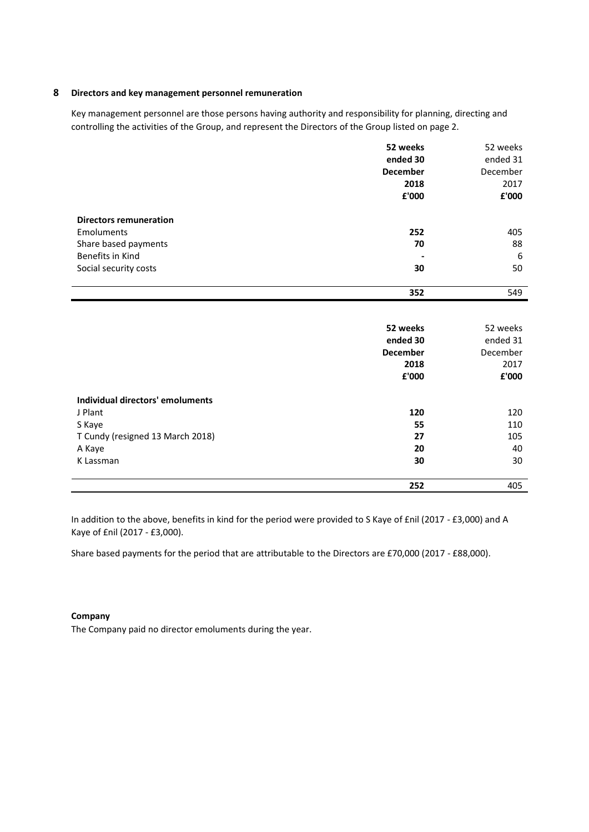# **8 Directors and key management personnel remuneration**

Key management personnel are those persons having authority and responsibility for planning, directing and controlling the activities of the Group, and represent the Directors of the Group listed on page 2.

|                               | 52 weeks        | 52 weeks |
|-------------------------------|-----------------|----------|
|                               | ended 30        | ended 31 |
|                               | <b>December</b> | December |
|                               | 2018            | 2017     |
|                               | £'000           | £'000    |
| <b>Directors remuneration</b> |                 |          |
| <b>Emoluments</b>             | 252             | 405      |
| Share based payments          | 70              | 88       |
| Benefits in Kind              |                 | 6        |
| Social security costs         | 30              | 50       |
|                               | 352             | 549      |
|                               |                 |          |

|                                  | 52 weeks<br>ended 30<br><b>December</b><br>2018<br>£'000 | 52 weeks<br>ended 31<br>December<br>2017<br>£'000 |
|----------------------------------|----------------------------------------------------------|---------------------------------------------------|
| Individual directors' emoluments |                                                          |                                                   |
| J Plant                          | 120                                                      | 120                                               |
| S Kaye                           | 55                                                       | 110                                               |
| T Cundy (resigned 13 March 2018) | 27                                                       | 105                                               |
| A Kaye                           | 20                                                       | 40                                                |
| K Lassman                        | 30                                                       | 30                                                |
|                                  | 252                                                      | 405                                               |

In addition to the above, benefits in kind for the period were provided to S Kaye of £nil (2017 - £3,000) and A Kaye of £nil (2017 - £3,000).

Share based payments for the period that are attributable to the Directors are £70,000 (2017 - £88,000).

# **Company**

The Company paid no director emoluments during the year.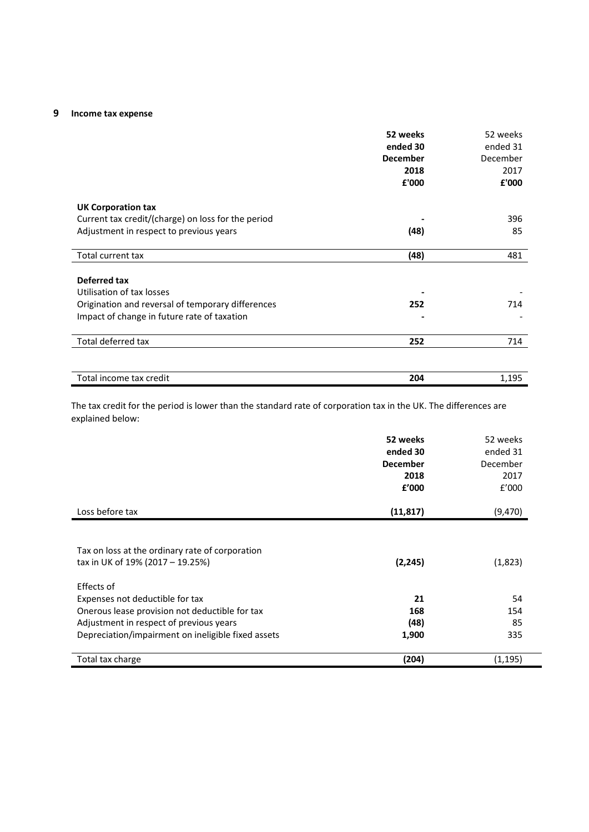# **9 Income tax expense**

|                                                    | 52 weeks        | 52 weeks |
|----------------------------------------------------|-----------------|----------|
|                                                    | ended 30        | ended 31 |
|                                                    | <b>December</b> | December |
|                                                    | 2018            | 2017     |
|                                                    | £'000           | £'000    |
| <b>UK Corporation tax</b>                          |                 |          |
| Current tax credit/(charge) on loss for the period |                 | 396      |
| Adjustment in respect to previous years            | (48)            | 85       |
| Total current tax                                  | (48)            | 481      |
|                                                    |                 |          |
| Deferred tax                                       |                 |          |
| Utilisation of tax losses                          |                 |          |
| Origination and reversal of temporary differences  | 252             | 714      |
| Impact of change in future rate of taxation        |                 |          |
| Total deferred tax                                 | 252             | 714      |
|                                                    |                 |          |
| Total income tax credit                            | 204             | 1,195    |

The tax credit for the period is lower than the standard rate of corporation tax in the UK. The differences are explained below:

|                                                                                                   | 52 weeks<br>ended 30<br><b>December</b><br>2018<br>£'000 | 52 weeks<br>ended 31<br>December<br>2017<br>f'000 |
|---------------------------------------------------------------------------------------------------|----------------------------------------------------------|---------------------------------------------------|
| Loss before tax                                                                                   | (11, 817)                                                | (9, 470)                                          |
| Tax on loss at the ordinary rate of corporation<br>tax in UK of 19% (2017 - 19.25%)<br>Effects of | (2, 245)                                                 | (1,823)                                           |
| Expenses not deductible for tax                                                                   | 21                                                       | 54                                                |
| Onerous lease provision not deductible for tax                                                    | 168                                                      | 154                                               |
| Adjustment in respect of previous years                                                           | (48)                                                     | 85                                                |
| Depreciation/impairment on ineligible fixed assets                                                | 1,900                                                    | 335                                               |
| Total tax charge                                                                                  | (204)                                                    | (1,195)                                           |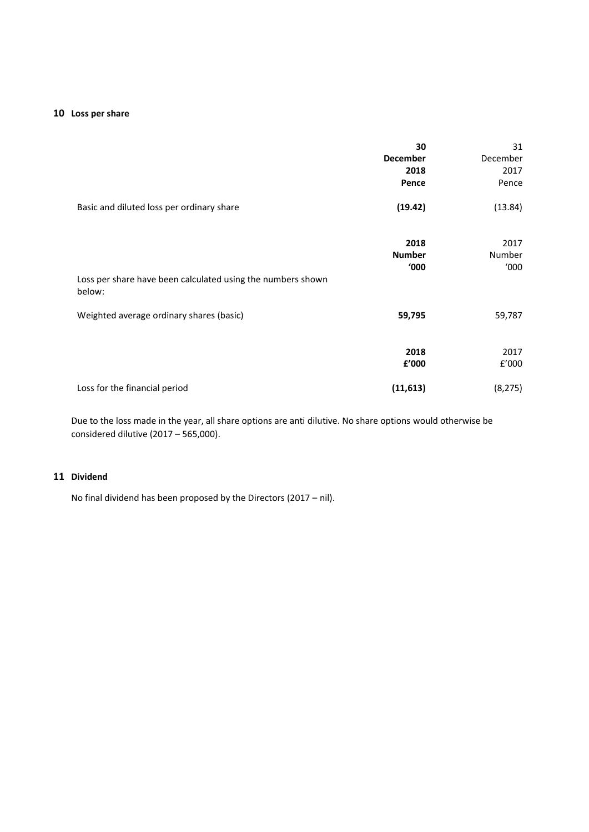# **10 Loss per share**

|                                                                       | 30<br><b>December</b><br>2018<br>Pence | 31<br>December<br>2017<br>Pence |
|-----------------------------------------------------------------------|----------------------------------------|---------------------------------|
| Basic and diluted loss per ordinary share                             | (19.42)                                | (13.84)                         |
| Loss per share have been calculated using the numbers shown<br>below: | 2018<br><b>Number</b><br>'000          | 2017<br>Number<br>'000          |
| Weighted average ordinary shares (basic)                              | 59,795                                 | 59,787                          |
|                                                                       | 2018<br>£'000                          | 2017<br>£'000                   |
| Loss for the financial period                                         | (11, 613)                              | (8, 275)                        |

Due to the loss made in the year, all share options are anti dilutive. No share options would otherwise be considered dilutive (2017 – 565,000).

# **11 Dividend**

No final dividend has been proposed by the Directors (2017 – nil).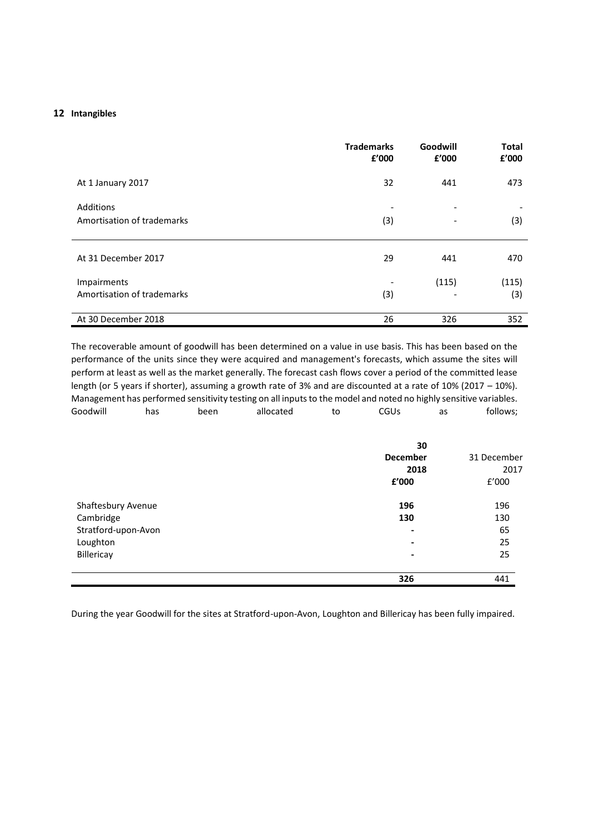### **12 Intangibles**

|                                                | <b>Trademarks</b><br>£'000      | Goodwill<br>£'000        | <b>Total</b><br>£'000 |
|------------------------------------------------|---------------------------------|--------------------------|-----------------------|
| At 1 January 2017                              | 32                              | 441                      | 473                   |
| <b>Additions</b><br>Amortisation of trademarks | $\overline{\phantom{a}}$<br>(3) | $\overline{\phantom{a}}$ | (3)                   |
| At 31 December 2017                            | 29                              | 441                      | 470                   |
| Impairments<br>Amortisation of trademarks      | $\overline{\phantom{a}}$<br>(3) | (115)                    | (115)<br>(3)          |
| At 30 December 2018                            | 26                              | 326                      | 352                   |

The recoverable amount of goodwill has been determined on a value in use basis. This has been based on the performance of the units since they were acquired and management's forecasts, which assume the sites will perform at least as well as the market generally. The forecast cash flows cover a period of the committed lease length (or 5 years if shorter), assuming a growth rate of 3% and are discounted at a rate of 10% (2017 – 10%). Management has performed sensitivity testing on all inputs to the model and noted no highly sensitive variables. Goodwill has been allocated to CGUs as follows;

|                     | 30                       |             |
|---------------------|--------------------------|-------------|
|                     | <b>December</b>          | 31 December |
|                     | 2018                     | 2017        |
|                     | £'000                    | f'000       |
| Shaftesbury Avenue  | 196                      | 196         |
| Cambridge           | 130                      | 130         |
| Stratford-upon-Avon | $\overline{\phantom{a}}$ | 65          |
| Loughton            | $\overline{\phantom{a}}$ | 25          |
| Billericay          | $\overline{\phantom{a}}$ | 25          |
|                     | 326                      | 441         |

During the year Goodwill for the sites at Stratford-upon-Avon, Loughton and Billericay has been fully impaired.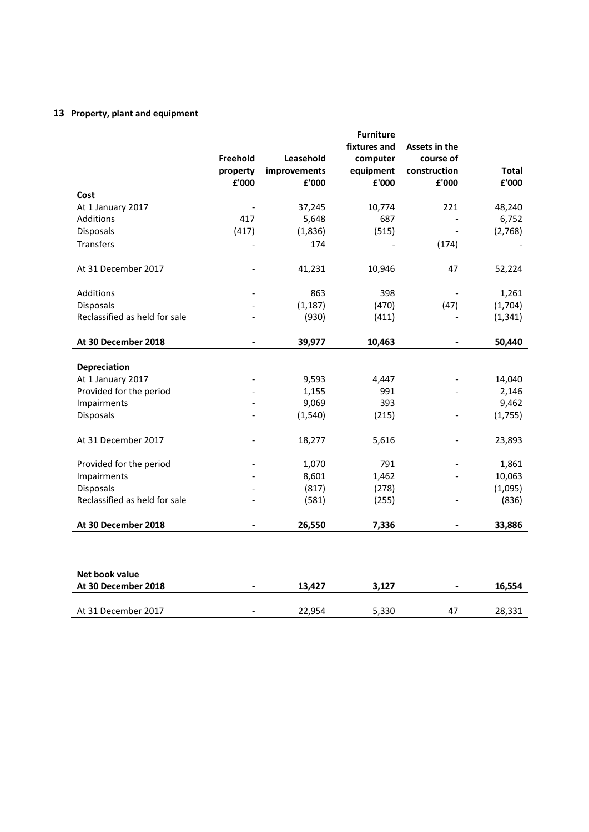# **13 Property, plant and equipment**

|                               |                |              | <b>Furniture</b><br>fixtures and | Assets in the  |              |
|-------------------------------|----------------|--------------|----------------------------------|----------------|--------------|
|                               | Freehold       | Leasehold    | computer                         | course of      |              |
|                               | property       | improvements | equipment                        | construction   | <b>Total</b> |
|                               | £'000          | £'000        | £'000                            | £'000          | £'000        |
| Cost                          |                |              |                                  |                |              |
| At 1 January 2017             |                | 37,245       | 10,774                           | 221            | 48,240       |
| Additions                     | 417            | 5,648        | 687                              |                | 6,752        |
| Disposals                     | (417)          | (1,836)      | (515)                            |                | (2,768)      |
| Transfers                     |                | 174          |                                  | (174)          |              |
| At 31 December 2017           |                | 41,231       | 10,946                           | 47             | 52,224       |
| Additions                     |                | 863          | 398                              |                | 1,261        |
| <b>Disposals</b>              |                | (1, 187)     | (470)                            | (47)           | (1,704)      |
| Reclassified as held for sale |                | (930)        | (411)                            |                | (1, 341)     |
| At 30 December 2018           | $\blacksquare$ | 39,977       | 10,463                           | $\overline{a}$ | 50,440       |
| Depreciation                  |                |              |                                  |                |              |
| At 1 January 2017             |                | 9,593        | 4,447                            |                | 14,040       |
| Provided for the period       |                | 1,155        | 991                              |                | 2,146        |
| Impairments                   |                | 9,069        | 393                              |                | 9,462        |
| <b>Disposals</b>              |                | (1,540)      | (215)                            |                | (1,755)      |
|                               |                |              |                                  |                |              |
| At 31 December 2017           |                | 18,277       | 5,616                            |                | 23,893       |
| Provided for the period       |                | 1,070        | 791                              |                | 1,861        |
| Impairments                   |                | 8,601        | 1,462                            |                | 10,063       |
| Disposals                     |                | (817)        | (278)                            |                | (1,095)      |
|                               |                | (581)        | (255)                            |                | (836)        |
| Reclassified as held for sale |                |              |                                  |                |              |

| At 30 December 2018 | $\overline{\phantom{0}}$ | 13.427 | 3,127 | $\overline{\phantom{0}}$ | 16.554           |
|---------------------|--------------------------|--------|-------|--------------------------|------------------|
|                     |                          |        |       |                          |                  |
| At 31 December 2017 | $\overline{\phantom{a}}$ | 22.954 | 5,330 | 4,                       | ∍כפיסר<br>⊥دد,ه∠ |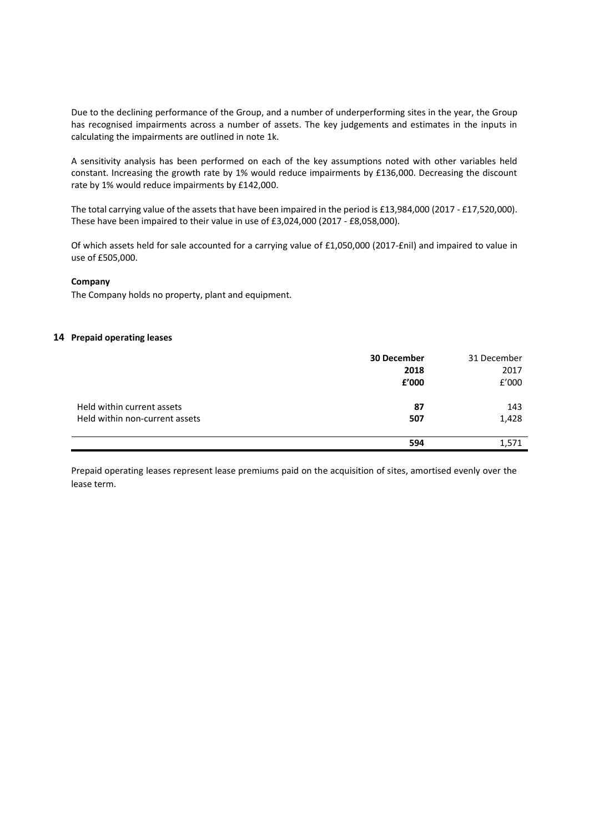Due to the declining performance of the Group, and a number of underperforming sites in the year, the Group has recognised impairments across a number of assets. The key judgements and estimates in the inputs in calculating the impairments are outlined in note 1k.

A sensitivity analysis has been performed on each of the key assumptions noted with other variables held constant. Increasing the growth rate by 1% would reduce impairments by £136,000. Decreasing the discount rate by 1% would reduce impairments by £142,000.

The total carrying value of the assets that have been impaired in the period is £13,984,000 (2017 - £17,520,000). These have been impaired to their value in use of £3,024,000 (2017 - £8,058,000).

Of which assets held for sale accounted for a carrying value of £1,050,000 (2017-£nil) and impaired to value in use of £505,000.

#### **Company**

The Company holds no property, plant and equipment.

#### **14 Prepaid operating leases**

|                                | 30 December | 31 December |
|--------------------------------|-------------|-------------|
|                                | 2018        | 2017        |
|                                | £'000       | E'000       |
| Held within current assets     | 87          | 143         |
| Held within non-current assets | 507         | 1,428       |
|                                | 594         | 1.571       |

Prepaid operating leases represent lease premiums paid on the acquisition of sites, amortised evenly over the lease term.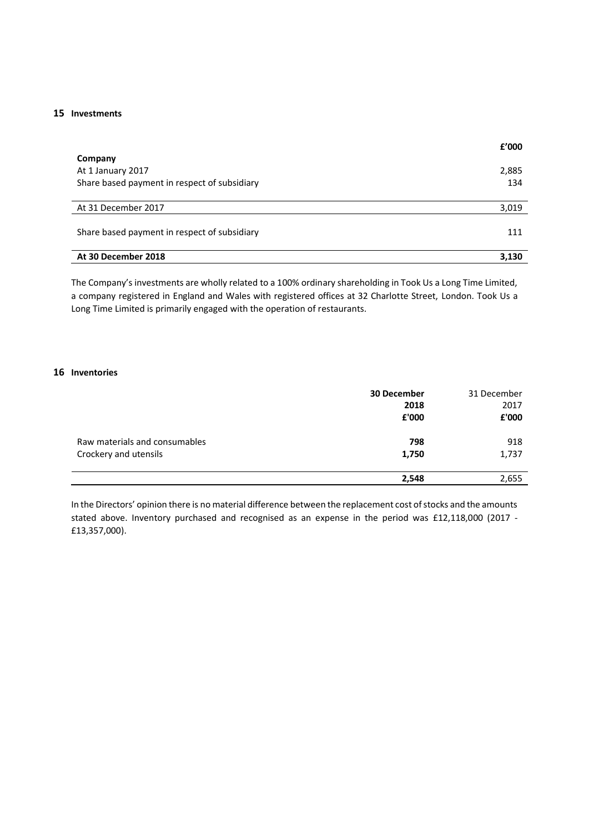# **15 Investments**

|                                              | f'000 |
|----------------------------------------------|-------|
| Company                                      |       |
| At 1 January 2017                            | 2,885 |
| Share based payment in respect of subsidiary | 134   |
|                                              |       |
| At 31 December 2017                          | 3,019 |
|                                              |       |
| Share based payment in respect of subsidiary | 111   |
|                                              |       |
| At 30 December 2018                          | 3,130 |

The Company's investments are wholly related to a 100% ordinary shareholding in Took Us a Long Time Limited, a company registered in England and Wales with registered offices at 32 Charlotte Street, London. Took Us a Long Time Limited is primarily engaged with the operation of restaurants.

# **16 Inventories**

|                                                        | 30 December<br>2018<br>£'000 | 31 December<br>2017<br>£'000 |
|--------------------------------------------------------|------------------------------|------------------------------|
| Raw materials and consumables<br>Crockery and utensils | 798<br>1,750                 | 918<br>1,737                 |
|                                                        | 2,548                        | 2,655                        |

In the Directors' opinion there is no material difference between the replacement cost of stocks and the amounts stated above. Inventory purchased and recognised as an expense in the period was £12,118,000 (2017 - £13,357,000).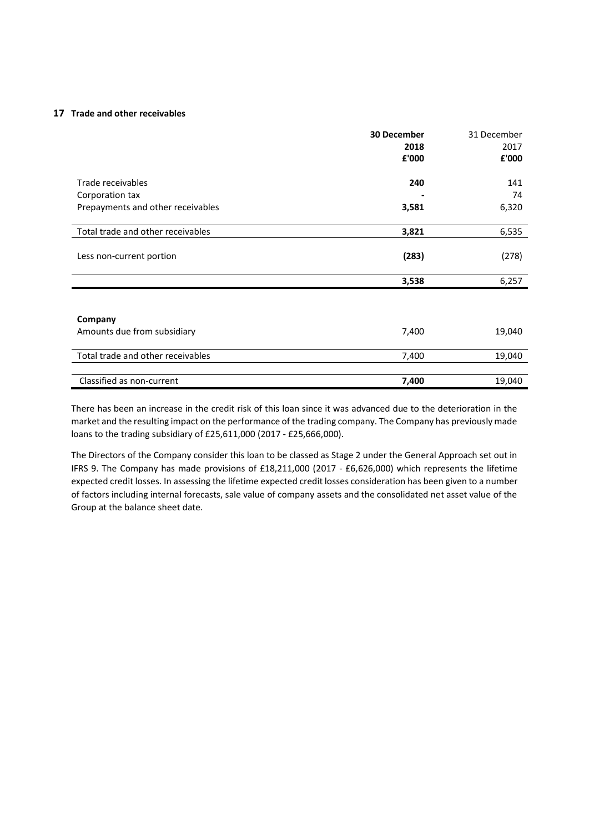#### **17 Trade and other receivables**

|                                   | <b>30 December</b> | 31 December |
|-----------------------------------|--------------------|-------------|
|                                   | 2018               | 2017        |
|                                   | £'000              | £'000       |
|                                   |                    |             |
| Trade receivables                 | 240                | 141         |
| Corporation tax                   |                    | 74          |
| Prepayments and other receivables | 3,581              | 6,320       |
| Total trade and other receivables | 3,821              | 6,535       |
|                                   |                    |             |
| Less non-current portion          | (283)              | (278)       |
|                                   |                    |             |
|                                   | 3,538              | 6,257       |
|                                   |                    |             |
|                                   |                    |             |
| Company                           |                    |             |
| Amounts due from subsidiary       | 7,400              | 19,040      |
| Total trade and other receivables | 7,400              | 19,040      |
|                                   |                    |             |
| Classified as non-current         | 7,400              | 19,040      |

There has been an increase in the credit risk of this loan since it was advanced due to the deterioration in the market and the resulting impact on the performance of the trading company. The Company has previously made loans to the trading subsidiary of £25,611,000 (2017 - £25,666,000).

The Directors of the Company consider this loan to be classed as Stage 2 under the General Approach set out in IFRS 9. The Company has made provisions of £18,211,000 (2017 - £6,626,000) which represents the lifetime expected credit losses. In assessing the lifetime expected credit losses consideration has been given to a number of factors including internal forecasts, sale value of company assets and the consolidated net asset value of the Group at the balance sheet date.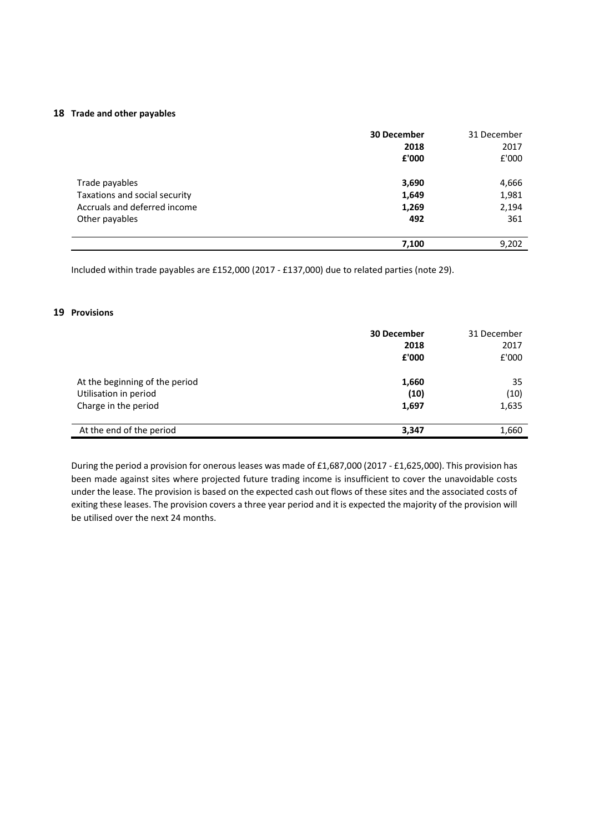# **18 Trade and other payables**

|                                                                                                   | <b>30 December</b><br>2018<br>£'000 | 31 December<br>2017<br>£'000   |
|---------------------------------------------------------------------------------------------------|-------------------------------------|--------------------------------|
| Trade payables<br>Taxations and social security<br>Accruals and deferred income<br>Other payables | 3,690<br>1,649<br>1,269<br>492      | 4,666<br>1,981<br>2,194<br>361 |
|                                                                                                   | 7,100                               | 9,202                          |

Included within trade payables are £152,000 (2017 - £137,000) due to related parties (note 29).

# **19 Provisions**

|                                                                                 | <b>30 December</b><br>2018<br>£'000 | 31 December<br>2017<br>£'000 |
|---------------------------------------------------------------------------------|-------------------------------------|------------------------------|
| At the beginning of the period<br>Utilisation in period<br>Charge in the period | 1,660<br>(10)<br>1,697              | 35<br>(10)<br>1,635          |
| At the end of the period                                                        | 3.347                               | 1,660                        |

During the period a provision for onerous leases was made of £1,687,000 (2017 - £1,625,000). This provision has been made against sites where projected future trading income is insufficient to cover the unavoidable costs under the lease. The provision is based on the expected cash out flows of these sites and the associated costs of exiting these leases. The provision covers a three year period and it is expected the majority of the provision will be utilised over the next 24 months.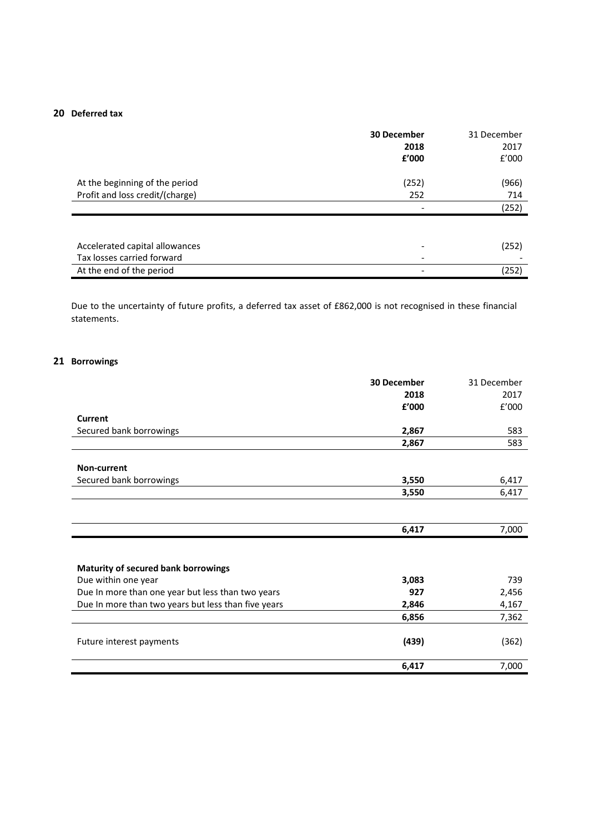# **20 Deferred tax**

|                                 | <b>30 December</b> | 31 December |
|---------------------------------|--------------------|-------------|
|                                 | 2018               | 2017        |
|                                 | £'000              | E'000       |
| At the beginning of the period  | (252)              | (966)       |
| Profit and loss credit/(charge) | 252                | 714         |
|                                 |                    | (252)       |
|                                 |                    |             |
| Accelerated capital allowances  |                    | (252)       |
| Tax losses carried forward      |                    |             |
| At the end of the period        |                    | (252)       |

Due to the uncertainty of future profits, a deferred tax asset of £862,000 is not recognised in these financial statements.

# **21 Borrowings**

|                                                     | 30 December | 31 December |
|-----------------------------------------------------|-------------|-------------|
|                                                     | 2018        | 2017        |
|                                                     | £'000       | f'000       |
| Current                                             |             |             |
| Secured bank borrowings                             | 2,867       | 583         |
|                                                     | 2,867       | 583         |
|                                                     |             |             |
| <b>Non-current</b>                                  |             |             |
| Secured bank borrowings                             | 3,550       | 6,417       |
|                                                     | 3,550       | 6,417       |
|                                                     |             |             |
|                                                     |             |             |
|                                                     | 6,417       | 7,000       |
|                                                     |             |             |
|                                                     |             |             |
| <b>Maturity of secured bank borrowings</b>          |             |             |
| Due within one year                                 | 3,083       | 739         |
| Due In more than one year but less than two years   | 927         | 2,456       |
| Due In more than two years but less than five years | 2,846       | 4,167       |
|                                                     | 6,856       | 7,362       |
|                                                     |             |             |
| Future interest payments                            | (439)       | (362)       |
|                                                     |             |             |
|                                                     | 6,417       | 7,000       |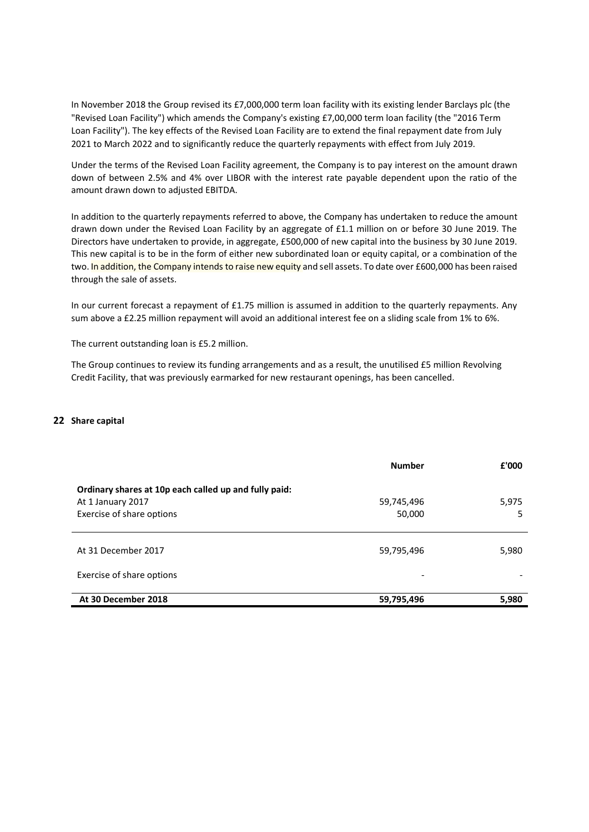In November 2018 the Group revised its £7,000,000 term loan facility with its existing lender Barclays plc (the "Revised Loan Facility") which amends the Company's existing £7,00,000 term loan facility (the "2016 Term Loan Facility"). The key effects of the Revised Loan Facility are to extend the final repayment date from July 2021 to March 2022 and to significantly reduce the quarterly repayments with effect from July 2019.

Under the terms of the Revised Loan Facility agreement, the Company is to pay interest on the amount drawn down of between 2.5% and 4% over LIBOR with the interest rate payable dependent upon the ratio of the amount drawn down to adjusted EBITDA.

In addition to the quarterly repayments referred to above, the Company has undertaken to reduce the amount drawn down under the Revised Loan Facility by an aggregate of £1.1 million on or before 30 June 2019. The Directors have undertaken to provide, in aggregate, £500,000 of new capital into the business by 30 June 2019. This new capital is to be in the form of either new subordinated loan or equity capital, or a combination of the two. In addition, the Company intends to raise new equity and sell assets. To date over £600,000 has been raised through the sale of assets.

In our current forecast a repayment of £1.75 million is assumed in addition to the quarterly repayments. Any sum above a £2.25 million repayment will avoid an additional interest fee on a sliding scale from 1% to 6%.

The current outstanding loan is £5.2 million.

The Group continues to review its funding arrangements and as a result, the unutilised £5 million Revolving Credit Facility, that was previously earmarked for new restaurant openings, has been cancelled.

# **22 Share capital**

|                                                                                                         | <b>Number</b>        | £'000      |
|---------------------------------------------------------------------------------------------------------|----------------------|------------|
| Ordinary shares at 10p each called up and fully paid:<br>At 1 January 2017<br>Exercise of share options | 59,745,496<br>50,000 | 5,975<br>5 |
| At 31 December 2017                                                                                     | 59,795,496           | 5,980      |
| Exercise of share options                                                                               | $\overline{a}$       |            |
| At 30 December 2018                                                                                     | 59,795,496           | 5,980      |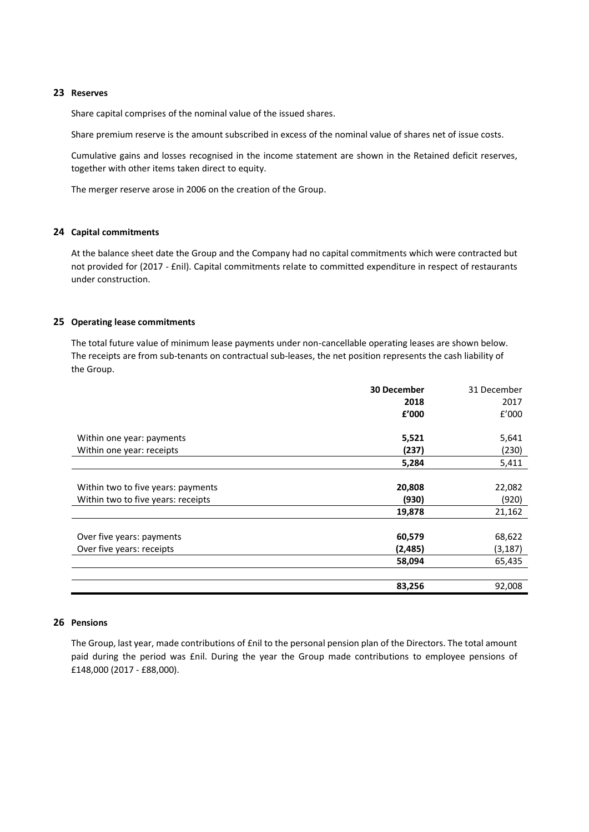# **23 Reserves**

Share capital comprises of the nominal value of the issued shares.

Share premium reserve is the amount subscribed in excess of the nominal value of shares net of issue costs.

Cumulative gains and losses recognised in the income statement are shown in the Retained deficit reserves, together with other items taken direct to equity.

The merger reserve arose in 2006 on the creation of the Group.

#### **24 Capital commitments**

At the balance sheet date the Group and the Company had no capital commitments which were contracted but not provided for (2017 - £nil). Capital commitments relate to committed expenditure in respect of restaurants under construction.

# **25 Operating lease commitments**

The total future value of minimum lease payments under non-cancellable operating leases are shown below. The receipts are from sub-tenants on contractual sub-leases, the net position represents the cash liability of the Group.

|                                    | <b>30 December</b> | 31 December |
|------------------------------------|--------------------|-------------|
|                                    | 2018               | 2017        |
|                                    | £'000              | f'000       |
| Within one year: payments          | 5,521              | 5,641       |
| Within one year: receipts          | (237)              | (230)       |
|                                    | 5,284              | 5,411       |
|                                    |                    |             |
| Within two to five years: payments | 20,808             | 22,082      |
| Within two to five years: receipts | (930)              | (920)       |
|                                    | 19,878             | 21,162      |
|                                    |                    |             |
| Over five years: payments          | 60,579             | 68,622      |
| Over five years: receipts          | (2,485)            | (3, 187)    |
|                                    | 58,094             | 65,435      |
|                                    |                    |             |
|                                    | 83,256             | 92,008      |

# **26 Pensions**

The Group, last year, made contributions of £nil to the personal pension plan of the Directors. The total amount paid during the period was £nil. During the year the Group made contributions to employee pensions of £148,000 (2017 - £88,000).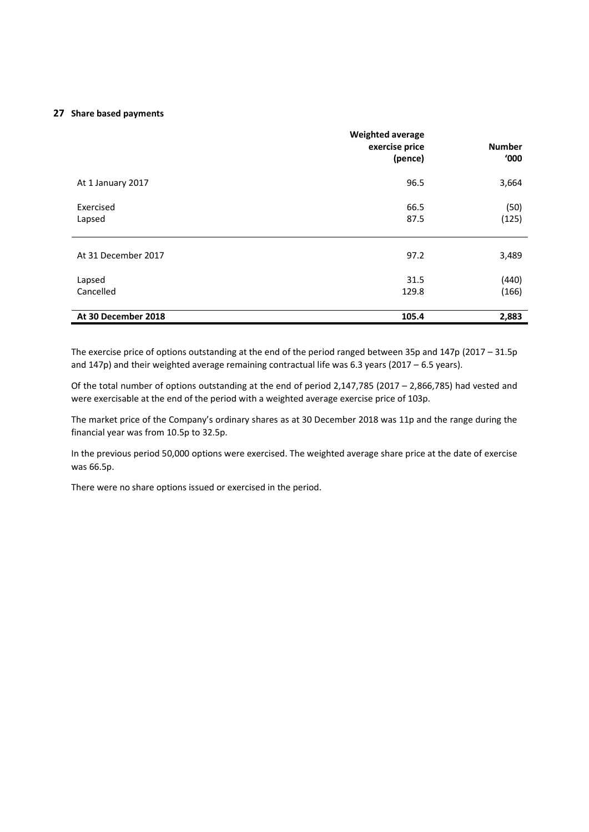#### **27 Share based payments**

|                     | <b>Weighted average</b><br>exercise price<br>(pence) | <b>Number</b><br>'000 |
|---------------------|------------------------------------------------------|-----------------------|
| At 1 January 2017   | 96.5                                                 | 3,664                 |
| Exercised<br>Lapsed | 66.5<br>87.5                                         | (50)<br>(125)         |
| At 31 December 2017 | 97.2                                                 | 3,489                 |
| Lapsed              | 31.5                                                 | (440)                 |
| Cancelled           | 129.8                                                | (166)                 |
| At 30 December 2018 | 105.4                                                | 2,883                 |

The exercise price of options outstanding at the end of the period ranged between 35p and 147p (2017 – 31.5p and  $147p$ ) and their weighted average remaining contractual life was 6.3 years (2017 – 6.5 years).

Of the total number of options outstanding at the end of period 2,147,785 (2017 – 2,866,785) had vested and were exercisable at the end of the period with a weighted average exercise price of 103p.

The market price of the Company's ordinary shares as at 30 December 2018 was 11p and the range during the financial year was from 10.5p to 32.5p.

In the previous period 50,000 options were exercised. The weighted average share price at the date of exercise was 66.5p.

There were no share options issued or exercised in the period.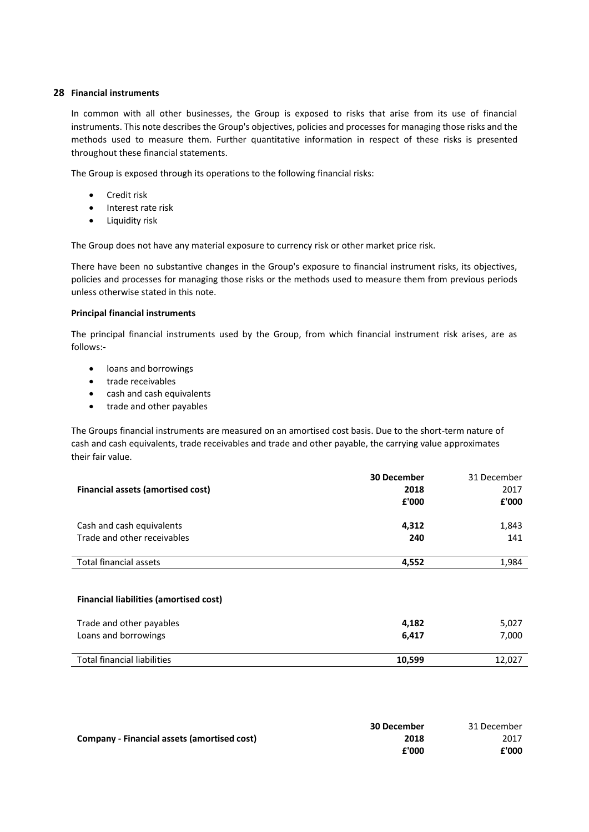# **28 Financial instruments**

In common with all other businesses, the Group is exposed to risks that arise from its use of financial instruments. This note describes the Group's objectives, policies and processes for managing those risks and the methods used to measure them. Further quantitative information in respect of these risks is presented throughout these financial statements.

The Group is exposed through its operations to the following financial risks:

- $\bullet$  Credit risk
- Interest rate risk
- Liquidity risk

The Group does not have any material exposure to currency risk or other market price risk.

There have been no substantive changes in the Group's exposure to financial instrument risks, its objectives, policies and processes for managing those risks or the methods used to measure them from previous periods unless otherwise stated in this note.

#### **Principal financial instruments**

The principal financial instruments used by the Group, from which financial instrument risk arises, are as follows:-

- loans and borrowings
- trade receivables
- cash and cash equivalents
- $\bullet$  trade and other payables

The Groups financial instruments are measured on an amortised cost basis. Due to the short-term nature of cash and cash equivalents, trade receivables and trade and other payable, the carrying value approximates their fair value.

|                                               | <b>30 December</b> | 31 December |
|-----------------------------------------------|--------------------|-------------|
| Financial assets (amortised cost)             | 2018               | 2017        |
|                                               | £'000              | £'000       |
| Cash and cash equivalents                     | 4,312              | 1,843       |
| Trade and other receivables                   | 240                | 141         |
| <b>Total financial assets</b>                 | 4,552              | 1,984       |
|                                               |                    |             |
| <b>Financial liabilities (amortised cost)</b> |                    |             |
| Trade and other payables                      | 4,182              | 5,027       |
| Loans and borrowings                          | 6,417              | 7,000       |
| <b>Total financial liabilities</b>            | 10,599             | 12,027      |

|                                             | <b>30 December</b> | 31 December |
|---------------------------------------------|--------------------|-------------|
| Company - Financial assets (amortised cost) | 2018               | 2017        |
|                                             | £'000              | £'000       |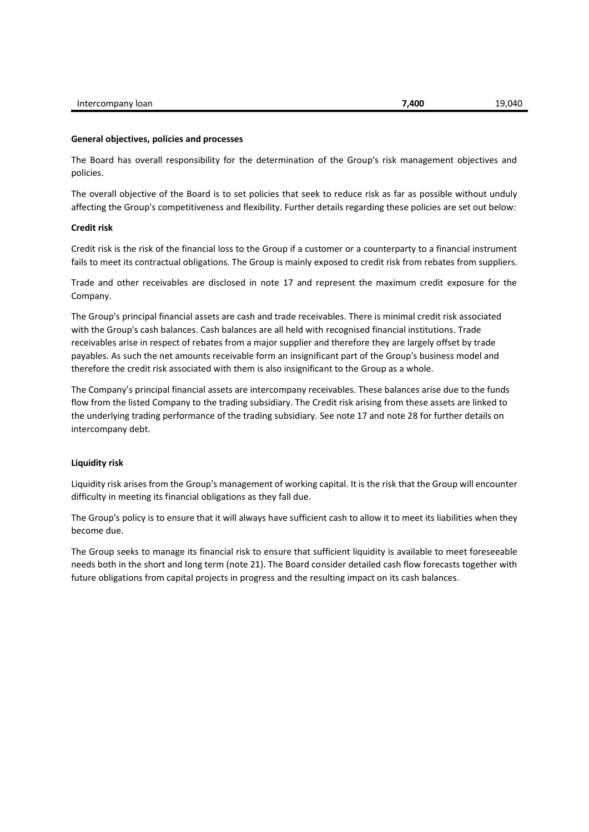#### **General objectives, policies and processes**

The Board has overall responsibility for the determination of the Group's risk management objectives and policies.

The overall objective of the Board is to set policies that seek to reduce risk as far as possible without unduly affecting the Group's competitiveness and flexibility. Further details regarding these policies are set out below:

#### **Credit risk**

Credit risk is the risk of the financial loss to the Group if a customer or a counterparty to a financial instrument fails to meet its contractual obligations. The Group is mainly exposed to credit risk from rebates from suppliers.

Trade and other receivables are disclosed in note 17 and represent the maximum credit exposure for the Company.

The Group's principal financial assets are cash and trade receivables. There is minimal credit risk associated with the Group's cash balances. Cash balances are all held with recognised financial institutions. Trade receivables arise in respect of rebates from a major supplier and therefore they are largely offset by trade payables. As such the net amounts receivable form an insignificant part of the Group's business model and therefore the credit risk associated with them is also insignificant to the Group as a whole.

The Company's principal financial assets are intercompany receivables. These balances arise due to the funds flow from the listed Company to the trading subsidiary. The Credit risk arising from these assets are linked to the underlying trading performance of the trading subsidiary. See note 17 and note 28 for further details on intercompany debt.

#### **Liquidity risk**

Liquidity risk arises from the Group's management of working capital. It is the risk that the Group will encounter difficulty in meeting its financial obligations as they fall due.

The Group's policy is to ensure that it will always have sufficient cash to allow it to meet its liabilities when they become due.

The Group seeks to manage its financial risk to ensure that sufficient liquidity is available to meet foreseeable needs both in the short and long term (note 21). The Board consider detailed cash flow forecasts together with future obligations from capital projects in progress and the resulting impact on its cash balances.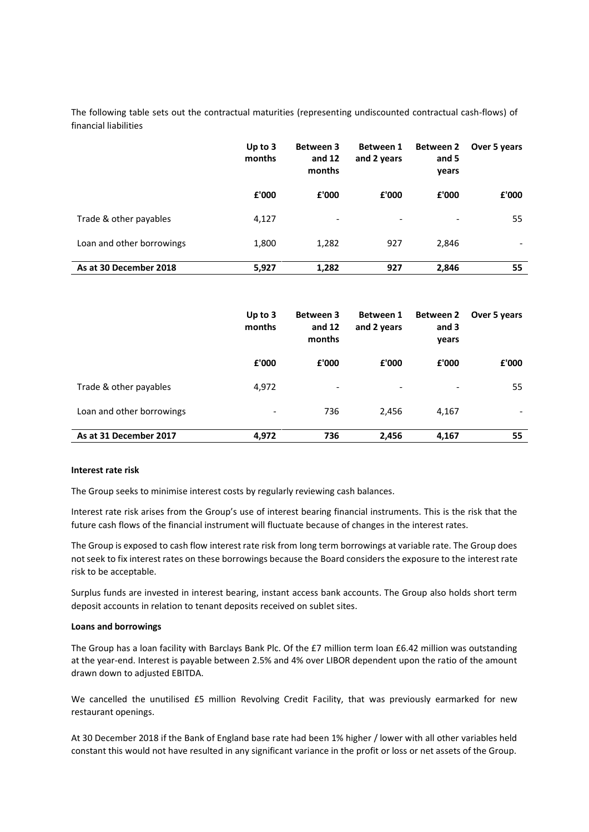The following table sets out the contractual maturities (representing undiscounted contractual cash-flows) of financial liabilities

|                           | Up to $3$<br>months | <b>Between 3</b><br>and $12$<br>months | <b>Between 1</b><br>and 2 years | <b>Between 2</b><br>and 5<br>years | Over 5 years             |
|---------------------------|---------------------|----------------------------------------|---------------------------------|------------------------------------|--------------------------|
|                           | £'000               | £'000                                  | £'000                           | £'000                              | £'000                    |
| Trade & other payables    | 4,127               | $\overline{\phantom{a}}$               | $\overline{\phantom{a}}$        | $\qquad \qquad \blacksquare$       | 55                       |
| Loan and other borrowings | 1,800               | 1,282                                  | 927                             | 2,846                              | $\overline{\phantom{a}}$ |
| As at 30 December 2018    | 5,927               | 1,282                                  | 927                             | 2,846                              | 55                       |

|                           | Up to $3$<br>months      | <b>Between 3</b><br>and $12$<br>months | <b>Between 1</b><br>and 2 years | <b>Between 2</b><br>and $3$<br>years | Over 5 years |
|---------------------------|--------------------------|----------------------------------------|---------------------------------|--------------------------------------|--------------|
|                           | £'000                    | £'000                                  | £'000                           | £'000                                | £'000        |
| Trade & other payables    | 4,972                    | $\overline{\phantom{a}}$               |                                 | $\overline{\phantom{a}}$             | 55           |
| Loan and other borrowings | $\overline{\phantom{a}}$ | 736                                    | 2,456                           | 4,167                                |              |
| As at 31 December 2017    | 4,972                    | 736                                    | 2,456                           | 4,167                                | 55           |

#### **Interest rate risk**

The Group seeks to minimise interest costs by regularly reviewing cash balances.

Interest rate risk arises from the Group's use of interest bearing financial instruments. This is the risk that the future cash flows of the financial instrument will fluctuate because of changes in the interest rates.

The Group is exposed to cash flow interest rate risk from long term borrowings at variable rate. The Group does not seek to fix interest rates on these borrowings because the Board considers the exposure to the interest rate risk to be acceptable.

Surplus funds are invested in interest bearing, instant access bank accounts. The Group also holds short term deposit accounts in relation to tenant deposits received on sublet sites.

#### **Loans and borrowings**

The Group has a loan facility with Barclays Bank Plc. Of the £7 million term loan £6.42 million was outstanding at the year-end. Interest is payable between 2.5% and 4% over LIBOR dependent upon the ratio of the amount drawn down to adjusted EBITDA.

We cancelled the unutilised £5 million Revolving Credit Facility, that was previously earmarked for new restaurant openings.

At 30 December 2018 if the Bank of England base rate had been 1% higher / lower with all other variables held constant this would not have resulted in any significant variance in the profit or loss or net assets of the Group.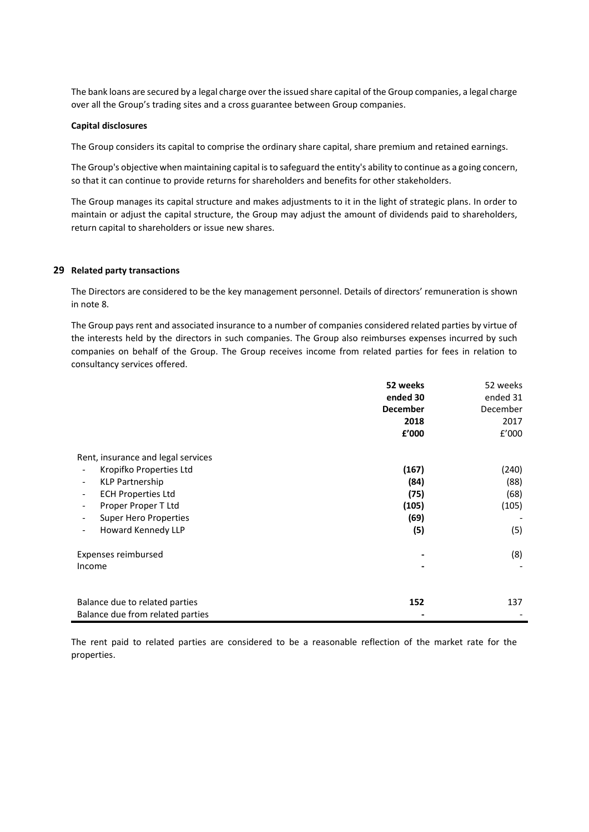The bank loans are secured by a legal charge over the issued share capital of the Group companies, a legal charge over all the Group's trading sites and a cross guarantee between Group companies.

#### **Capital disclosures**

The Group considers its capital to comprise the ordinary share capital, share premium and retained earnings.

The Group's objective when maintaining capital is to safeguard the entity's ability to continue as a going concern, so that it can continue to provide returns for shareholders and benefits for other stakeholders.

The Group manages its capital structure and makes adjustments to it in the light of strategic plans. In order to maintain or adjust the capital structure, the Group may adjust the amount of dividends paid to shareholders, return capital to shareholders or issue new shares.

#### **29 Related party transactions**

The Directors are considered to be the key management personnel. Details of directors' remuneration is shown in note 8.

The Group pays rent and associated insurance to a number of companies considered related parties by virtue of the interests held by the directors in such companies. The Group also reimburses expenses incurred by such companies on behalf of the Group. The Group receives income from related parties for fees in relation to consultancy services offered.

|                                                       | 52 weeks        | 52 weeks |
|-------------------------------------------------------|-----------------|----------|
|                                                       | ended 30        | ended 31 |
|                                                       | <b>December</b> | December |
|                                                       | 2018            | 2017     |
|                                                       | £'000           | £'000    |
| Rent, insurance and legal services                    |                 |          |
| Kropifko Properties Ltd                               | (167)           | (240)    |
| <b>KLP Partnership</b>                                | (84)            | (88)     |
| <b>ECH Properties Ltd</b><br>$\overline{\phantom{a}}$ | (75)            | (68)     |
| Proper Proper T Ltd                                   | (105)           | (105)    |
| <b>Super Hero Properties</b>                          | (69)            |          |
| Howard Kennedy LLP<br>$\overline{\phantom{a}}$        | (5)             | (5)      |
| Expenses reimbursed                                   |                 | (8)      |
| Income                                                |                 |          |
|                                                       |                 |          |
| Balance due to related parties                        | 152             | 137      |
| Balance due from related parties                      |                 |          |

The rent paid to related parties are considered to be a reasonable reflection of the market rate for the properties.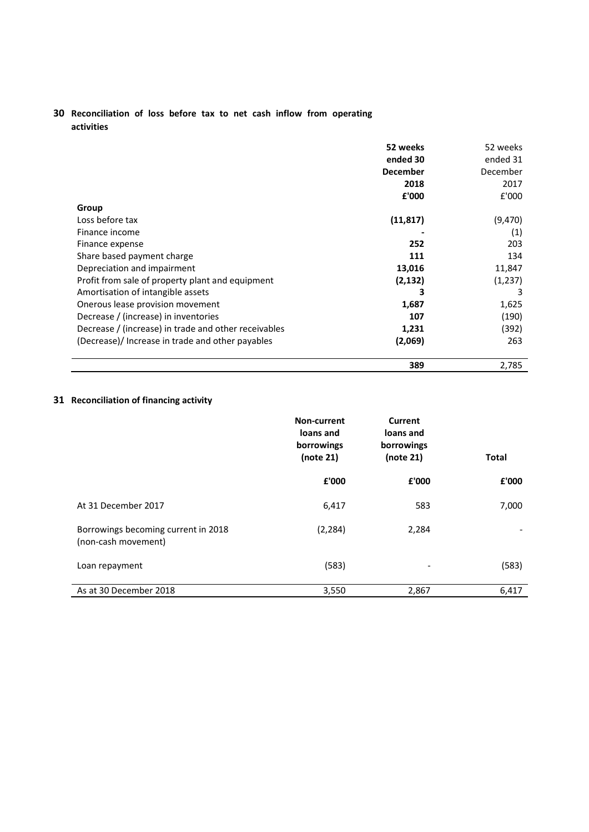# **30 Reconciliation of loss before tax to net cash inflow from operating activities**

|                                                      | 52 weeks<br>ended 30<br><b>December</b><br>2018<br>£'000 | 52 weeks<br>ended 31<br>December<br>2017<br>£'000 |
|------------------------------------------------------|----------------------------------------------------------|---------------------------------------------------|
| Group                                                |                                                          |                                                   |
| Loss before tax                                      | (11, 817)                                                | (9,470)                                           |
| Finance income                                       |                                                          | (1)                                               |
| Finance expense                                      | 252                                                      | 203                                               |
| Share based payment charge                           | 111                                                      | 134                                               |
| Depreciation and impairment                          | 13,016                                                   | 11,847                                            |
| Profit from sale of property plant and equipment     | (2, 132)                                                 | (1,237)                                           |
| Amortisation of intangible assets                    | з                                                        | 3                                                 |
| Onerous lease provision movement                     | 1,687                                                    | 1,625                                             |
| Decrease / (increase) in inventories                 | 107                                                      | (190)                                             |
| Decrease / (increase) in trade and other receivables | 1,231                                                    | (392)                                             |
| (Decrease)/ Increase in trade and other payables     | (2,069)                                                  | 263                                               |
|                                                      | 389                                                      | 2,785                                             |

# **31 Reconciliation of financing activity**

|                                                            | Non-current<br>loans and<br>borrowings<br>(note 21) | <b>Current</b><br>loans and<br>borrowings<br>(note 21) | <b>Total</b> |
|------------------------------------------------------------|-----------------------------------------------------|--------------------------------------------------------|--------------|
|                                                            | £'000                                               | £'000                                                  | £'000        |
| At 31 December 2017                                        | 6,417                                               | 583                                                    | 7,000        |
| Borrowings becoming current in 2018<br>(non-cash movement) | (2, 284)                                            | 2,284                                                  |              |
| Loan repayment                                             | (583)                                               | $\overline{a}$                                         | (583)        |
| As at 30 December 2018                                     | 3,550                                               | 2,867                                                  | 6,417        |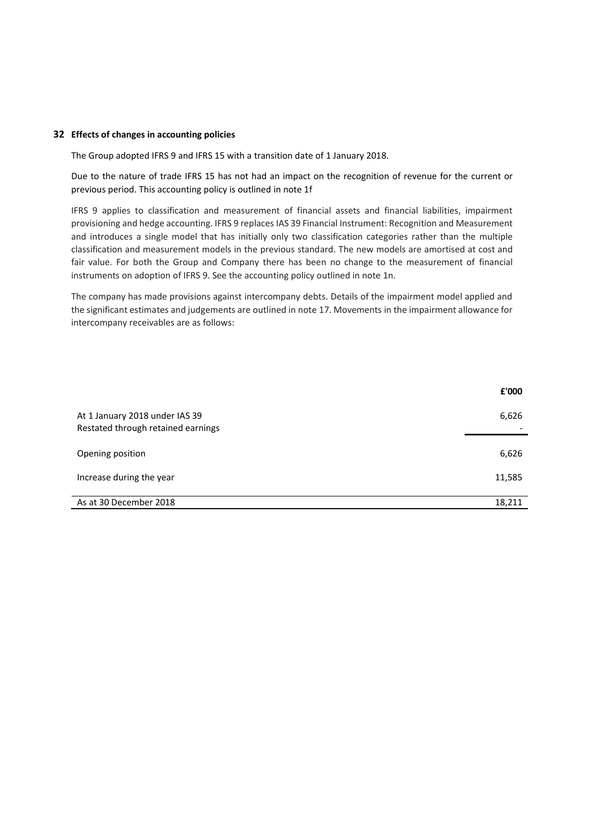# **32 Effects of changes in accounting policies**

The Group adopted IFRS 9 and IFRS 15 with a transition date of 1 January 2018.

Due to the nature of trade IFRS 15 has not had an impact on the recognition of revenue for the current or previous period. This accounting policy is outlined in note 1f

IFRS 9 applies to classification and measurement of financial assets and financial liabilities, impairment provisioning and hedge accounting. IFRS 9 replaces IAS 39 Financial Instrument: Recognition and Measurement and introduces a single model that has initially only two classification categories rather than the multiple classification and measurement models in the previous standard. The new models are amortised at cost and fair value. For both the Group and Company there has been no change to the measurement of financial instruments on adoption of IFRS 9. See the accounting policy outlined in note 1n.

The company has made provisions against intercompany debts. Details of the impairment model applied and the significant estimates and judgements are outlined in note 17. Movements in the impairment allowance for intercompany receivables are as follows:

|                                                                      | £'000  |
|----------------------------------------------------------------------|--------|
| At 1 January 2018 under IAS 39<br>Restated through retained earnings | 6,626  |
| Opening position                                                     | 6,626  |
| Increase during the year                                             | 11,585 |
| As at 30 December 2018                                               | 18,211 |
|                                                                      |        |